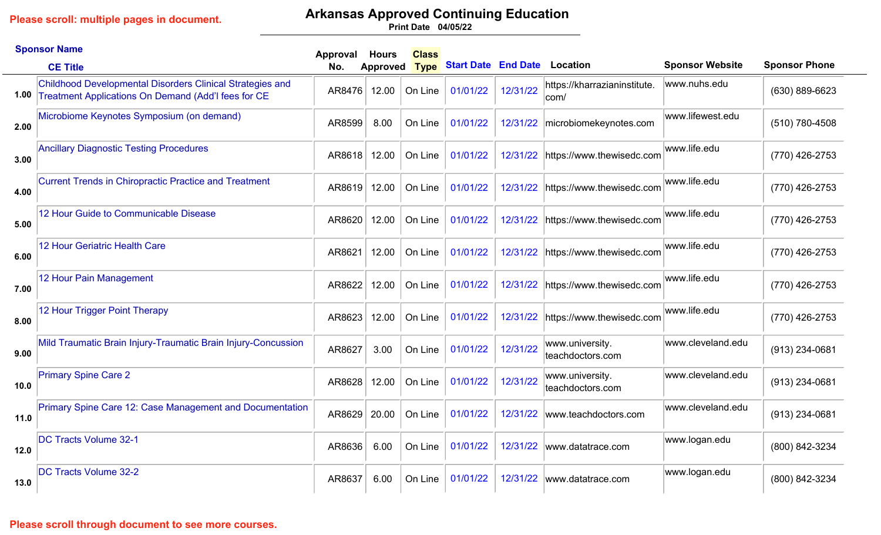# **Arkansas Approved Continuing Education**

**04/05/22 Print Date**

|      | <b>Sponsor Name</b>                                                                                                          | Approval | <b>Hours</b>    | <b>Class</b> |                                     |          |                                       |                        |                      |
|------|------------------------------------------------------------------------------------------------------------------------------|----------|-----------------|--------------|-------------------------------------|----------|---------------------------------------|------------------------|----------------------|
|      | <b>CE Title</b>                                                                                                              | No.      | <b>Approved</b> | <b>Type</b>  | <b>Start Date End Date Location</b> |          |                                       | <b>Sponsor Website</b> | <b>Sponsor Phone</b> |
|      | <b>Childhood Developmental Disorders Clinical Strategies and</b><br>1.00 Treatment Applications On Demand (Add'l fees for CE | AR8476   | 12.00           | On Line      | 01/01/22                            | 12/31/22 | https://kharrazianinstitute.<br> com/ | www.nuhs.edu           | (630) 889-6623       |
| 2.00 | Microbiome Keynotes Symposium (on demand)                                                                                    | AR8599   | 8.00            | On Line      | 01/01/22                            | 12/31/22 | microbiomekeynotes.com                | www.lifewest.edu       | (510) 780-4508       |
| 3.00 | <b>Ancillary Diagnostic Testing Procedures</b>                                                                               | AR8618   | 12.00           | On Line      | 01/01/22                            | 12/31/22 | https://www.thewisedc.com             | www.life.edu           | (770) 426-2753       |
| 4.00 | <b>Current Trends in Chiropractic Practice and Treatment</b>                                                                 | AR8619   | 12.00           | On Line      | 01/01/22                            | 12/31/22 | https://www.thewisedc.com             | www.life.edu           | (770) 426-2753       |
| 5.00 | 12 Hour Guide to Communicable Disease                                                                                        | AR8620   | 12.00           | On Line      | 01/01/22                            | 12/31/22 | https://www.thewisedc.com             | www.life.edu           | (770) 426-2753       |
| 6.00 | 12 Hour Geriatric Health Care                                                                                                | AR8621   | 12.00           | On Line      | 01/01/22                            | 12/31/22 | https://www.thewisedc.com             | www.life.edu           | (770) 426-2753       |
| 7.00 | 12 Hour Pain Management                                                                                                      | AR8622   | 12.00           | On Line      | 01/01/22                            | 12/31/22 | https://www.thewisedc.com             | www.life.edu           | (770) 426-2753       |
| 8.00 | 12 Hour Trigger Point Therapy                                                                                                | AR8623   | 12.00           | On Line      | 01/01/22                            | 12/31/22 | https://www.thewisedc.com             | www.life.edu           | (770) 426-2753       |
| 9.00 | Mild Traumatic Brain Injury-Traumatic Brain Injury-Concussion                                                                | AR8627   | 3.00            | On Line      | 01/01/22                            | 12/31/22 | www.university.<br>teachdoctors.com   | www.cleveland.edu      | (913) 234-0681       |
| 10.0 | <b>Primary Spine Care 2</b>                                                                                                  | AR8628   | 12.00           | On Line      | 01/01/22                            | 12/31/22 | www.university.<br>teachdoctors.com   | www.cleveland.edu      | (913) 234-0681       |
| 11.0 | Primary Spine Care 12: Case Management and Documentation                                                                     | AR8629   | 20.00           | On Line      | 01/01/22                            | 12/31/22 | www.teachdoctors.com                  | www.cleveland.edu      | (913) 234-0681       |
| 12.0 | <b>DC Tracts Volume 32-1</b>                                                                                                 | AR8636   | 6.00            | On Line      | 01/01/22                            | 12/31/22 | www.datatrace.com                     | www.logan.edu          | (800) 842-3234       |
| 13.0 | <b>DC Tracts Volume 32-2</b>                                                                                                 | AR8637   | 6.00            | On Line      | 01/01/22                            | 12/31/22 | www.datatrace.com                     | www.logan.edu          | (800) 842-3234       |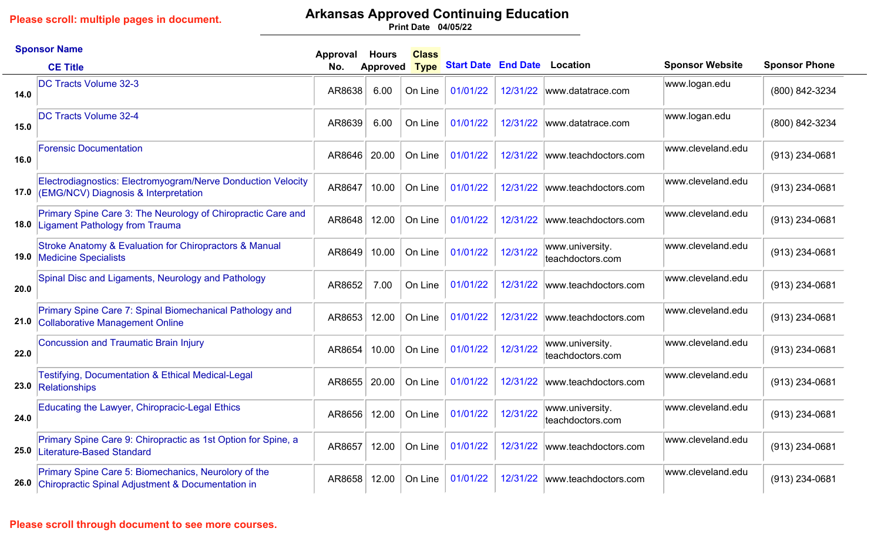# **Arkansas Approved Continuing Education**

**04/05/22 Print Date**

|      | <b>Sponsor Name</b>                                                                                            | Approval | <b>Hours</b>    | <b>Class</b> |                            |          |                                     |                        |                      |
|------|----------------------------------------------------------------------------------------------------------------|----------|-----------------|--------------|----------------------------|----------|-------------------------------------|------------------------|----------------------|
|      | <b>CE Title</b>                                                                                                | No.      | <b>Approved</b> | <b>Type</b>  | <b>Start Date End Date</b> |          | <b>Location</b>                     | <b>Sponsor Website</b> | <b>Sponsor Phone</b> |
| 14.0 | <b>DC Tracts Volume 32-3</b>                                                                                   | AR8638   | 6.00            | On Line      | 01/01/22                   | 12/31/22 | www.datatrace.com                   | www.logan.edu          | (800) 842-3234       |
| 15.0 | <b>DC Tracts Volume 32-4</b>                                                                                   | AR8639   | 6.00            | On Line      | 01/01/22                   | 12/31/22 | www.datatrace.com                   | www.logan.edu          | (800) 842-3234       |
| 16.0 | <b>Forensic Documentation</b>                                                                                  | AR8646   | 20.00           | On Line      | 01/01/22                   | 12/31/22 | www.teachdoctors.com                | www.cleveland.edu      | (913) 234-0681       |
| 17.0 | Electrodiagnostics: Electromyogram/Nerve Donduction Velocity<br>(EMG/NCV) Diagnosis & Interpretation           | AR8647   | 10.00           | On Line      | 01/01/22                   | 12/31/22 | www.teachdoctors.com                | www.cleveland.edu      | (913) 234-0681       |
| 18.0 | Primary Spine Care 3: The Neurology of Chiropractic Care and<br>Ligament Pathology from Trauma                 | AR8648   | 12.00           | On Line      | 01/01/22                   | 12/31/22 | www.teachdoctors.com                | www.cleveland.edu      | (913) 234-0681       |
|      | Stroke Anatomy & Evaluation for Chiropractors & Manual<br><b>19.0</b> Medicine Specialists                     | AR8649   | 10.00           | On Line      | 01/01/22                   | 12/31/22 | www.university.<br>teachdoctors.com | www.cleveland.edu      | $(913)$ 234-0681     |
| 20.0 | Spinal Disc and Ligaments, Neurology and Pathology                                                             | AR8652   | 7.00            | On Line      | 01/01/22                   | 12/31/22 | www.teachdoctors.com                | www.cleveland.edu      | (913) 234-0681       |
| 21.0 | Primary Spine Care 7: Spinal Biomechanical Pathology and<br><b>Collaborative Management Online</b>             | AR8653   | 12.00           | On Line      | 01/01/22                   | 12/31/22 | www.teachdoctors.com                | www.cleveland.edu      | (913) 234-0681       |
| 22.0 | <b>Concussion and Traumatic Brain Injury</b>                                                                   | AR8654   | 10.00           | On Line      | 01/01/22                   | 12/31/22 | www.university.<br>teachdoctors.com | www.cleveland.edu      | (913) 234-0681       |
|      | <b>Testifying, Documentation &amp; Ethical Medical-Legal</b><br>23.0 Relationships                             | AR8655   | 20.00           | On Line      | 01/01/22                   | 12/31/22 | www.teachdoctors.com                | www.cleveland.edu      | (913) 234-0681       |
| 24.0 | Educating the Lawyer, Chiropracic-Legal Ethics                                                                 | AR8656   | 12.00           | On Line      | 01/01/22                   | 12/31/22 | www.university.<br>teachdoctors.com | www.cleveland.edu      | (913) 234-0681       |
| 25.0 | Primary Spine Care 9: Chiropractic as 1st Option for Spine, a<br>Literature-Based Standard                     | AR8657   | 12.00           | On Line      | 01/01/22                   | 12/31/22 | www.teachdoctors.com                | www.cleveland.edu      | $(913)$ 234-0681     |
|      | Primary Spine Care 5: Biomechanics, Neurolory of the<br>26.0 Chiropractic Spinal Adjustment & Documentation in | AR8658   | 12.00           | On Line      | 01/01/22                   |          | 12/31/22 www.teachdoctors.com       | www.cleveland.edu      | $(913)$ 234-0681     |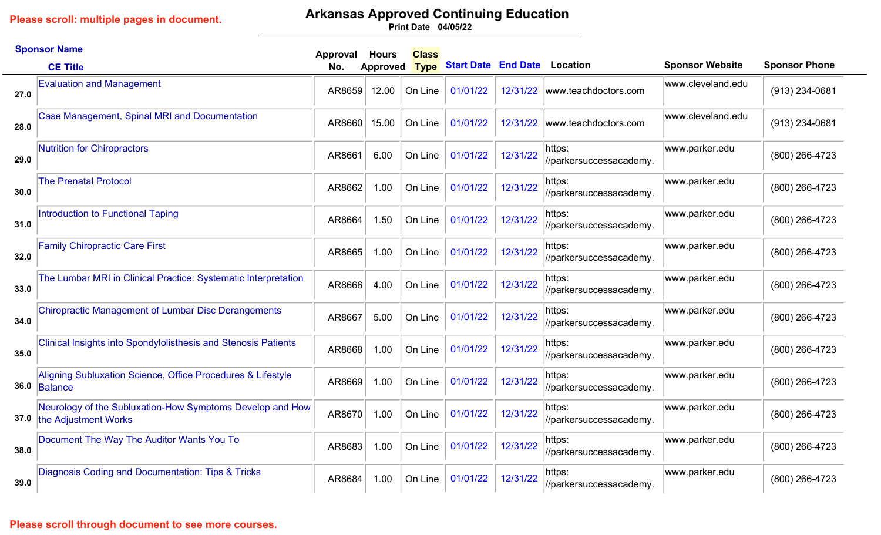### **Arkansas Approved Continuing Education**

**04/05/22 Print Date**

|      | <b>Sponsor Name</b>                                                               | Approval | <b>Hours</b>    | <b>Class</b> |                                     |          |                                   |                        |                      |
|------|-----------------------------------------------------------------------------------|----------|-----------------|--------------|-------------------------------------|----------|-----------------------------------|------------------------|----------------------|
|      | <b>CE Title</b>                                                                   | No.      | <b>Approved</b> | <b>Type</b>  | <b>Start Date End Date Location</b> |          |                                   | <b>Sponsor Website</b> | <b>Sponsor Phone</b> |
| 27.0 | <b>Evaluation and Management</b>                                                  | AR8659   | 12.00           | On Line      | 01/01/22                            |          | 12/31/22 www.teachdoctors.com     | www.cleveland.edu      | (913) 234-0681       |
| 28.0 | <b>Case Management, Spinal MRI and Documentation</b>                              | AR8660   | 15.00           | On Line      | 01/01/22                            | 12/31/22 | www.teachdoctors.com              | www.cleveland.edu      | (913) 234-0681       |
| 29.0 | <b>Nutrition for Chiropractors</b>                                                | AR8661   | 6.00            | On Line      | 01/01/22                            | 12/31/22 | https:<br>//parkersuccessacademy. | www.parker.edu         | (800) 266-4723       |
| 30.0 | <b>The Prenatal Protocol</b>                                                      | AR8662   | 1.00            | On Line      | 01/01/22                            | 12/31/22 | https:<br>//parkersuccessacademy. | www.parker.edu         | (800) 266-4723       |
| 31.0 | Introduction to Functional Taping                                                 | AR8664   | 1.50            | On Line      | 01/01/22                            | 12/31/22 | https:<br>//parkersuccessacademy. | www.parker.edu         | (800) 266-4723       |
| 32.0 | <b>Family Chiropractic Care First</b>                                             | AR8665   | 1.00            | On Line      | 01/01/22                            | 12/31/22 | https:<br>//parkersuccessacademy. | www.parker.edu         | (800) 266-4723       |
| 33.0 | The Lumbar MRI in Clinical Practice: Systematic Interpretation                    | AR8666   | 4.00            | On Line      | 01/01/22                            | 12/31/22 | https:<br>//parkersuccessacademy. | www.parker.edu         | (800) 266-4723       |
| 34.0 | <b>Chiropractic Management of Lumbar Disc Derangements</b>                        | AR8667   | 5.00            | On Line      | 01/01/22                            | 12/31/22 | https:<br>//parkersuccessacademy. | www.parker.edu         | (800) 266-4723       |
| 35.0 | <b>Clinical Insights into Spondylolisthesis and Stenosis Patients</b>             | AR8668   | 1.00            | On Line      | 01/01/22                            | 12/31/22 | https:<br>//parkersuccessacademy. | www.parker.edu         | (800) 266-4723       |
|      | Aligning Subluxation Science, Office Procedures & Lifestyle<br>36.0 Balance       | AR8669   | 1.00            | On Line      | 01/01/22                            | 12/31/22 | https:<br>//parkersuccessacademy. | www.parker.edu         | (800) 266-4723       |
| 37.0 | Neurology of the Subluxation-How Symptoms Develop and How<br>the Adjustment Works | AR8670   | 1.00            | On Line      | 01/01/22                            | 12/31/22 | https:<br>//parkersuccessacademy. | www.parker.edu         | (800) 266-4723       |
| 38.0 | Document The Way The Auditor Wants You To                                         | AR8683   | 1.00            | On Line      | 01/01/22                            | 12/31/22 | https:<br>//parkersuccessacademy. | www.parker.edu         | (800) 266-4723       |
| 39.0 | Diagnosis Coding and Documentation: Tips & Tricks                                 | AR8684   | 1.00            | On Line      | 01/01/22                            | 12/31/22 | https:<br>//parkersuccessacademy. | www.parker.edu         | (800) 266-4723       |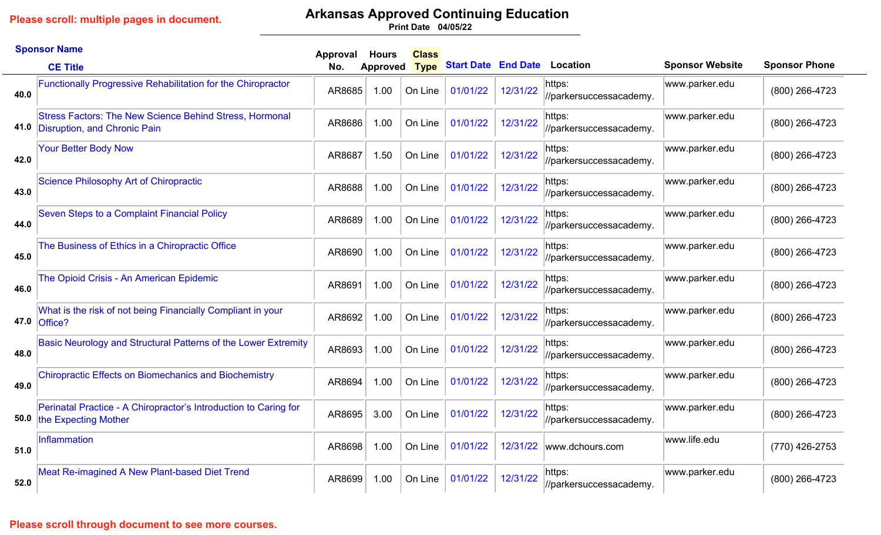## **Arkansas Approved Continuing Education**

**04/05/22 Print Date**

|      | <b>Sponsor Name</b>                                                                                 | Approval | <b>Hours</b> | <b>Class</b> |                            |          |                                   |                        |                      |
|------|-----------------------------------------------------------------------------------------------------|----------|--------------|--------------|----------------------------|----------|-----------------------------------|------------------------|----------------------|
|      | <b>CE Title</b>                                                                                     | No.      | Approved     | <b>Type</b>  | <b>Start Date End Date</b> |          | <b>Location</b>                   | <b>Sponsor Website</b> | <b>Sponsor Phone</b> |
| 40.0 | <b>Functionally Progressive Rehabilitation for the Chiropractor</b>                                 | AR8685   | 1.00         | On Line      | 01/01/22                   | 12/31/22 | https:<br>//parkersuccessacademy. | www.parker.edu         | (800) 266-4723       |
|      | <b>Stress Factors: The New Science Behind Stress, Hormonal</b><br>41.0 Disruption, and Chronic Pain | AR8686   | 1.00         | On Line      | 01/01/22                   | 12/31/22 | https:<br>//parkersuccessacademy. | www.parker.edu         | (800) 266-4723       |
| 42.0 | <b>Your Better Body Now</b>                                                                         | AR8687   | 1.50         | On Line      | 01/01/22                   | 12/31/22 | https:<br>//parkersuccessacademy. | www.parker.edu         | (800) 266-4723       |
| 43.0 | Science Philosophy Art of Chiropractic                                                              | AR8688   | 1.00         | On Line      | 01/01/22                   | 12/31/22 | https:<br>//parkersuccessacademy. | www.parker.edu         | (800) 266-4723       |
| 44.0 | Seven Steps to a Complaint Financial Policy                                                         | AR8689   | 1.00         | On Line      | 01/01/22                   | 12/31/22 | https:<br>//parkersuccessacademy. | www.parker.edu         | (800) 266-4723       |
| 45.0 | The Business of Ethics in a Chiropractic Office                                                     | AR8690   | 1.00         | On Line      | 01/01/22                   | 12/31/22 | https:<br>//parkersuccessacademy. | www.parker.edu         | (800) 266-4723       |
| 46.0 | The Opioid Crisis - An American Epidemic                                                            | AR8691   | 1.00         | On Line      | 01/01/22                   | 12/31/22 | https:<br>//parkersuccessacademy. | www.parker.edu         | (800) 266-4723       |
|      | What is the risk of not being Financially Compliant in your<br>47.0 Office?                         | AR8692   | 1.00         | On Line      | 01/01/22                   | 12/31/22 | https:<br>//parkersuccessacademy. | www.parker.edu         | (800) 266-4723       |
| 48.0 | Basic Neurology and Structural Patterns of the Lower Extremity                                      | AR8693   | 1.00         | On Line      | 01/01/22                   | 12/31/22 | https:<br>//parkersuccessacademy. | www.parker.edu         | (800) 266-4723       |
| 49.0 | <b>Chiropractic Effects on Biomechanics and Biochemistry</b>                                        | AR8694   | 1.00         | On Line      | 01/01/22                   | 12/31/22 | https:<br>//parkersuccessacademy. | www.parker.edu         | (800) 266-4723       |
|      | Perinatal Practice - A Chiropractor's Introduction to Caring for<br>50.0 the Expecting Mother       | AR8695   | 3.00         | On Line      | 01/01/22                   | 12/31/22 | https:<br>//parkersuccessacademy. | www.parker.edu         | (800) 266-4723       |
| 51.0 | <b>Inflammation</b>                                                                                 | AR8698   | 1.00         | On Line      | 01/01/22                   | 12/31/22 | www.dchours.com                   | www.life.edu           | (770) 426-2753       |
| 52.0 | Meat Re-imagined A New Plant-based Diet Trend                                                       | AR8699   | 1.00         | On Line      | 01/01/22                   | 12/31/22 | https:<br>//parkersuccessacademy. | www.parker.edu         | (800) 266-4723       |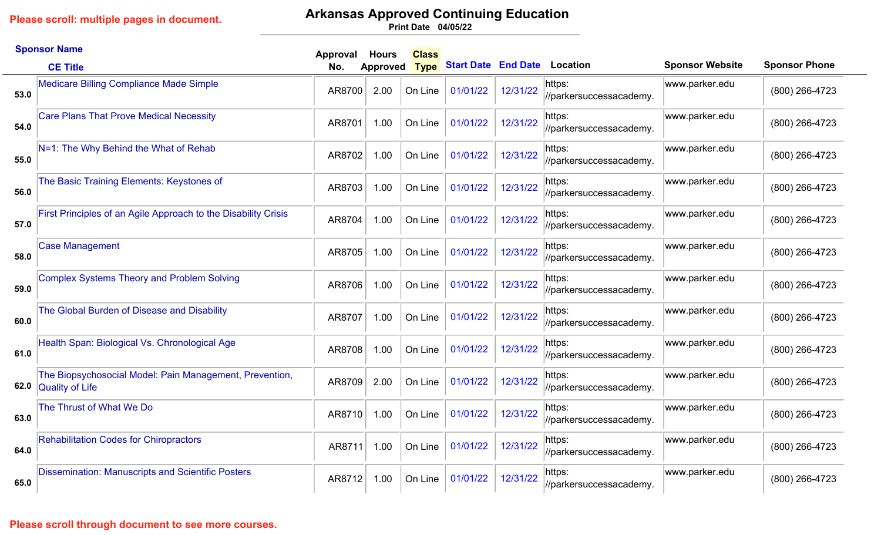## **Arkansas Approved Continuing Education**

**04/05/22 Print Date**

|      | <b>Sponsor Name</b>                                                               | Approval | <b>Hours</b>    | <b>Class</b> |                            |          |                                   |                        |                      |
|------|-----------------------------------------------------------------------------------|----------|-----------------|--------------|----------------------------|----------|-----------------------------------|------------------------|----------------------|
|      | <b>CE Title</b>                                                                   | No.      | <b>Approved</b> | <b>Type</b>  | <b>Start Date End Date</b> |          | <b>Location</b>                   | <b>Sponsor Website</b> | <b>Sponsor Phone</b> |
| 53.0 | <b>Medicare Billing Compliance Made Simple</b>                                    | AR8700   | 2.00            | On Line      | 01/01/22                   | 12/31/22 | https:<br>//parkersuccessacademy. | www.parker.edu         | (800) 266-4723       |
| 54.0 | <b>Care Plans That Prove Medical Necessity</b>                                    | AR8701   | 1.00            | On Line      | 01/01/22                   | 12/31/22 | https:<br>//parkersuccessacademy. | www.parker.edu         | (800) 266-4723       |
| 55.0 | N=1: The Why Behind the What of Rehab                                             | AR8702   | 1.00            | On Line      | 01/01/22                   | 12/31/22 | https:<br>//parkersuccessacademy. | www.parker.edu         | (800) 266-4723       |
| 56.0 | The Basic Training Elements: Keystones of                                         | AR8703   | 1.00            | On Line      | 01/01/22                   | 12/31/22 | https:<br>//parkersuccessacademy. | www.parker.edu         | (800) 266-4723       |
| 57.0 | First Principles of an Agile Approach to the Disability Crisis                    | AR8704   | 1.00            | On Line      | 01/01/22                   | 12/31/22 | https:<br>//parkersuccessacademy. | www.parker.edu         | (800) 266-4723       |
| 58.0 | <b>Case Management</b>                                                            | AR8705   | 1.00            | On Line      | 01/01/22                   | 12/31/22 | https:<br>//parkersuccessacademy. | www.parker.edu         | (800) 266-4723       |
| 59.0 | <b>Complex Systems Theory and Problem Solving</b>                                 | AR8706   | 1.00            | On Line      | 01/01/22                   | 12/31/22 | https:<br>//parkersuccessacademy. | www.parker.edu         | (800) 266-4723       |
| 60.0 | The Global Burden of Disease and Disability                                       | AR8707   | 1.00            | On Line      | 01/01/22                   | 12/31/22 | https:<br>//parkersuccessacademy. | www.parker.edu         | (800) 266-4723       |
| 61.0 | Health Span: Biological Vs. Chronological Age                                     | AR8708   | 1.00            | On Line      | 01/01/22                   | 12/31/22 | https:<br>//parkersuccessacademy. | www.parker.edu         | (800) 266-4723       |
| 62.0 | The Biopsychosocial Model: Pain Management, Prevention,<br><b>Quality of Life</b> | AR8709   | 2.00            | On Line      | 01/01/22                   | 12/31/22 | https:<br>//parkersuccessacademy. | www.parker.edu         | (800) 266-4723       |
| 63.0 | The Thrust of What We Do                                                          | AR8710   | 1.00            | On Line      | 01/01/22                   | 12/31/22 | https:<br>//parkersuccessacademy. | www.parker.edu         | (800) 266-4723       |
| 64.0 | <b>Rehabilitation Codes for Chiropractors</b>                                     | AR8711   | 1.00            | On Line      | 01/01/22                   | 12/31/22 | https:<br>//parkersuccessacademy. | www.parker.edu         | (800) 266-4723       |
| 65.0 | <b>Dissemination: Manuscripts and Scientific Posters</b>                          | AR8712   | 1.00            | On Line      | 01/01/22                   | 12/31/22 | https:<br>//parkersuccessacademy. | www.parker.edu         | (800) 266-4723       |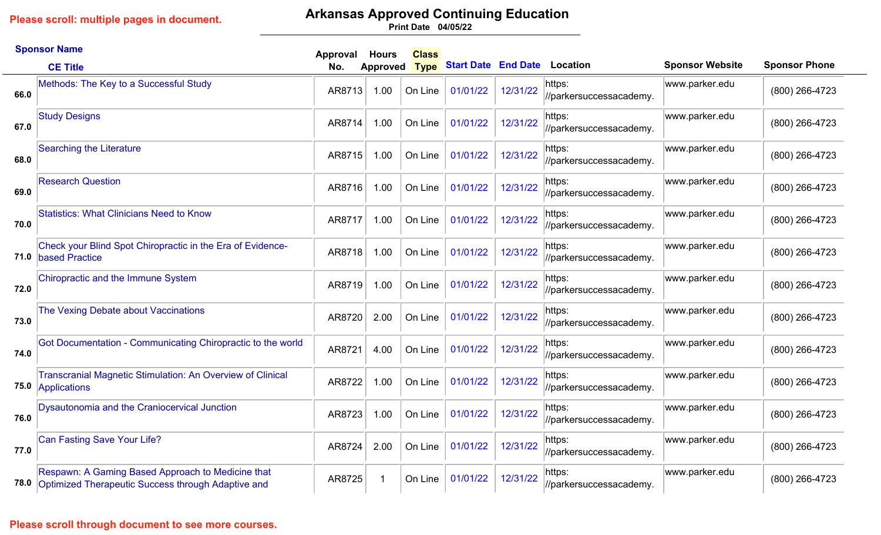### **Arkansas Approved Continuing Education**

**04/05/22 Print Date**

|      | <b>Sponsor Name</b>                                                                                                 | Approval | <b>Hours</b> | <b>Class</b> |                            |          |                                   |                        |                      |
|------|---------------------------------------------------------------------------------------------------------------------|----------|--------------|--------------|----------------------------|----------|-----------------------------------|------------------------|----------------------|
|      | <b>CE Title</b>                                                                                                     | No.      | Approved     | <b>Type</b>  | <b>Start Date End Date</b> |          | Location                          | <b>Sponsor Website</b> | <b>Sponsor Phone</b> |
| 66.0 | Methods: The Key to a Successful Study                                                                              | AR8713   | 1.00         | On Line      | 01/01/22                   | 12/31/22 | https:<br>//parkersuccessacademy. | www.parker.edu         | (800) 266-4723       |
| 67.0 | <b>Study Designs</b>                                                                                                | AR8714   | 1.00         | On Line      | 01/01/22                   | 12/31/22 | https:<br>//parkersuccessacademy. | www.parker.edu         | (800) 266-4723       |
| 68.0 | <b>Searching the Literature</b>                                                                                     | AR8715   | 1.00         | On Line      | 01/01/22                   | 12/31/22 | https:<br>//parkersuccessacademy. | www.parker.edu         | (800) 266-4723       |
| 69.0 | <b>Research Question</b>                                                                                            | AR8716   | 1.00         | On Line      | 01/01/22                   | 12/31/22 | https:<br>//parkersuccessacademy. | www.parker.edu         | (800) 266-4723       |
| 70.0 | <b>Statistics: What Clinicians Need to Know</b>                                                                     | AR8717   | 1.00         | On Line      | 01/01/22                   | 12/31/22 | https:<br>//parkersuccessacademy. | www.parker.edu         | (800) 266-4723       |
|      | Check your Blind Spot Chiropractic in the Era of Evidence-<br>71.0 based Practice                                   | AR8718   | 1.00         | On Line      | 01/01/22                   | 12/31/22 | https:<br>//parkersuccessacademy. | www.parker.edu         | (800) 266-4723       |
| 72.0 | <b>Chiropractic and the Immune System</b>                                                                           | AR8719   | 1.00         | On Line      | 01/01/22                   | 12/31/22 | https:<br>//parkersuccessacademy. | www.parker.edu         | (800) 266-4723       |
| 73.0 | The Vexing Debate about Vaccinations                                                                                | AR8720   | 2.00         | On Line      | 01/01/22                   | 12/31/22 | https:<br>//parkersuccessacademy. | www.parker.edu         | (800) 266-4723       |
| 74.0 | Got Documentation - Communicating Chiropractic to the world                                                         | AR8721   | 4.00         | On Line      | 01/01/22                   | 12/31/22 | https:<br>//parkersuccessacademy. | www.parker.edu         | (800) 266-4723       |
|      | <b>Transcranial Magnetic Stimulation: An Overview of Clinical</b><br>75.0 Applications                              | AR8722   | 1.00         | On Line      | 01/01/22                   | 12/31/22 | https:<br>//parkersuccessacademy. | www.parker.edu         | (800) 266-4723       |
| 76.0 | Dysautonomia and the Craniocervical Junction                                                                        | AR8723   | 1.00         | On Line      | 01/01/22                   | 12/31/22 | https:<br>//parkersuccessacademy. | www.parker.edu         | (800) 266-4723       |
| 77.0 | <b>Can Fasting Save Your Life?</b>                                                                                  | AR8724   | 2.00         | On Line      | 01/01/22                   | 12/31/22 | https:<br>//parkersuccessacademy. | www.parker.edu         | (800) 266-4723       |
|      | Respawn: A Gaming Based Approach to Medicine that<br><b>78.0</b> Optimized Therapeutic Success through Adaptive and | AR8725   | -1           | On Line      | 01/01/22                   | 12/31/22 | https:<br>//parkersuccessacademy. | www.parker.edu         | (800) 266-4723       |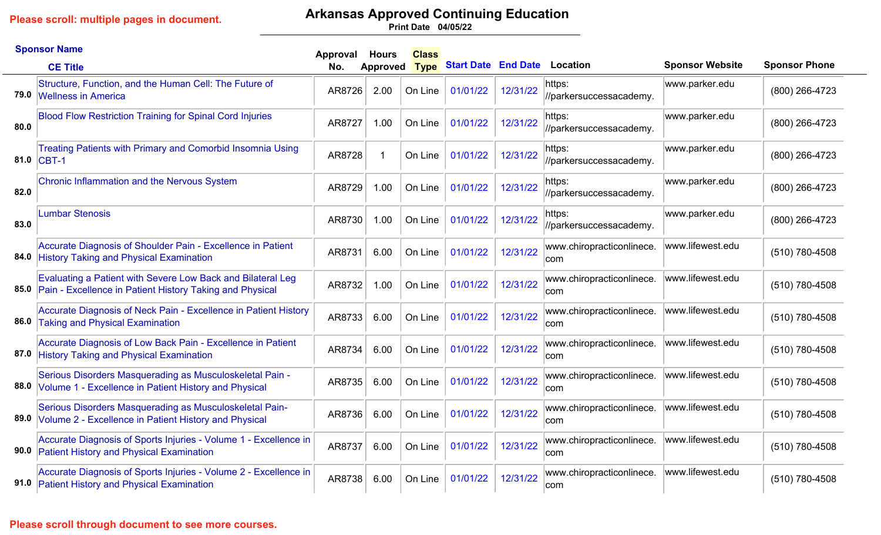# **Arkansas Approved Continuing Education**

**04/05/22 Print Date**

|      | <b>Sponsor Name</b>                                                                                                          | Approval | <b>Hours</b> | <b>Class</b> |                            |          |                                   |                        |                      |
|------|------------------------------------------------------------------------------------------------------------------------------|----------|--------------|--------------|----------------------------|----------|-----------------------------------|------------------------|----------------------|
|      | <b>CE Title</b>                                                                                                              | No.      | Approved     | <b>Type</b>  | <b>Start Date End Date</b> |          | Location                          | <b>Sponsor Website</b> | <b>Sponsor Phone</b> |
|      | Structure, Function, and the Human Cell: The Future of<br>79.0 Wellness in America                                           | AR8726   | 2.00         | On Line      | 01/01/22                   | 12/31/22 | https:<br>//parkersuccessacademy. | www.parker.edu         | (800) 266-4723       |
| 80.0 | <b>Blood Flow Restriction Training for Spinal Cord Injuries</b>                                                              | AR8727   | 1.00         | On Line      | 01/01/22                   | 12/31/22 | https:<br>//parkersuccessacademy. | www.parker.edu         | (800) 266-4723       |
|      | <b>Treating Patients with Primary and Comorbid Insomnia Using</b><br>81.0 CBT-1                                              | AR8728   | -1           | On Line      | 01/01/22                   | 12/31/22 | https:<br>//parkersuccessacademy. | www.parker.edu         | (800) 266-4723       |
| 82.0 | Chronic Inflammation and the Nervous System                                                                                  | AR8729   | 1.00         | On Line      | 01/01/22                   | 12/31/22 | https:<br>//parkersuccessacademy. | www.parker.edu         | (800) 266-4723       |
| 83.0 | <b>Lumbar Stenosis</b>                                                                                                       | AR8730   | 1.00         | On Line      | 01/01/22                   | 12/31/22 | https:<br>//parkersuccessacademy. | www.parker.edu         | (800) 266-4723       |
|      | Accurate Diagnosis of Shoulder Pain - Excellence in Patient<br>84.0 History Taking and Physical Examination                  | AR8731   | 6.00         | On Line      | 01/01/22                   | 12/31/22 | www.chiropracticonlinece.<br>com  | www.lifewest.edu       | (510) 780-4508       |
|      | Evaluating a Patient with Severe Low Back and Bilateral Leg<br>85.0 Pain - Excellence in Patient History Taking and Physical | AR8732   | 1.00         | On Line      | 01/01/22                   | 12/31/22 | www.chiropracticonlinece.<br>com  | www.lifewest.edu       | (510) 780-4508       |
| 86.0 | Accurate Diagnosis of Neck Pain - Excellence in Patient History<br><b>Taking and Physical Examination</b>                    | AR8733   | 6.00         | On Line      | 01/01/22                   | 12/31/22 | www.chiropracticonlinece.<br>com  | www.lifewest.edu       | (510) 780-4508       |
| 87.0 | Accurate Diagnosis of Low Back Pain - Excellence in Patient<br><b>History Taking and Physical Examination</b>                | AR8734   | 6.00         | On Line      | 01/01/22                   | 12/31/22 | www.chiropracticonlinece.<br>com  | www.lifewest.edu       | (510) 780-4508       |
|      | Serious Disorders Masquerading as Musculoskeletal Pain -<br>88.0 Volume 1 - Excellence in Patient History and Physical       | AR8735   | 6.00         | On Line      | 01/01/22                   | 12/31/22 | www.chiropracticonlinece.<br>com  | www.lifewest.edu       | (510) 780-4508       |
|      | Serious Disorders Masquerading as Musculoskeletal Pain-<br>89.0 Volume 2 - Excellence in Patient History and Physical        | AR8736   | 6.00         | On Line      | 01/01/22                   | 12/31/22 | www.chiropracticonlinece.<br>com  | www.lifewest.edu       | (510) 780-4508       |
| 90.0 | Accurate Diagnosis of Sports Injuries - Volume 1 - Excellence in<br><b>Patient History and Physical Examination</b>          | AR8737   | 6.00         | On Line      | 01/01/22                   | 12/31/22 | www.chiropracticonlinece.<br>com  | www.lifewest.edu       | (510) 780-4508       |
|      | Accurate Diagnosis of Sports Injuries - Volume 2 - Excellence in<br>91.0 Patient History and Physical Examination            | AR8738   | 6.00         | On Line      | 01/01/22                   | 12/31/22 | www.chiropracticonlinece.<br>com  | www.lifewest.edu       | (510) 780-4508       |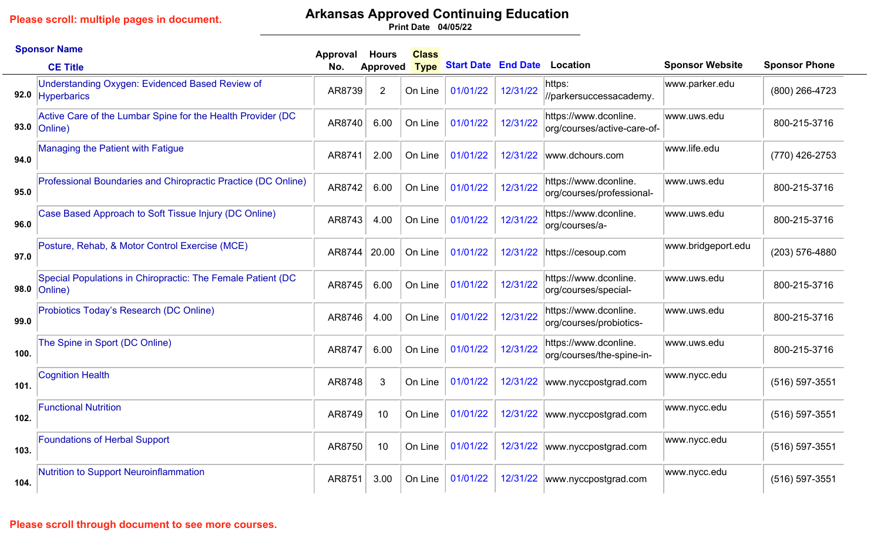# **Arkansas Approved Continuing Education**

**04/05/22 Print Date**

|      | <b>Sponsor Name</b>                                                                  | Approval | <b>Hours</b>    | <b>Class</b> |                            |          |                                                      |                        |                      |
|------|--------------------------------------------------------------------------------------|----------|-----------------|--------------|----------------------------|----------|------------------------------------------------------|------------------------|----------------------|
|      | <b>CE Title</b>                                                                      | No.      | <b>Approved</b> | <b>Type</b>  | <b>Start Date End Date</b> |          | <b>Location</b>                                      | <b>Sponsor Website</b> | <b>Sponsor Phone</b> |
|      | <b>Understanding Oxygen: Evidenced Based Review of</b><br>92.0 Hyperbarics           | AR8739   | $\overline{2}$  | On Line      | 01/01/22                   | 12/31/22 | https:<br>//parkersuccessacademy.                    | www.parker.edu         | (800) 266-4723       |
|      | Active Care of the Lumbar Spine for the Health Provider (DC<br>93.0 $ Online\rangle$ | AR8740   | 6.00            | On Line      | 01/01/22                   | 12/31/22 | https://www.dconline.<br>org/courses/active-care-of- | www.uws.edu            | 800-215-3716         |
| 94.0 | <b>Managing the Patient with Fatigue</b>                                             | AR8741   | 2.00            | On Line      | 01/01/22                   | 12/31/22 | www.dchours.com                                      | www.life.edu           | (770) 426-2753       |
| 95.0 | Professional Boundaries and Chiropractic Practice (DC Online)                        | AR8742   | 6.00            | On Line      | 01/01/22                   | 12/31/22 | https://www.dconline.<br>org/courses/professional-   | www.uws.edu            | 800-215-3716         |
| 96.0 | Case Based Approach to Soft Tissue Injury (DC Online)                                | AR8743   | 4.00            | On Line      | 01/01/22                   | 12/31/22 | https://www.dconline.<br>org/courses/a-              | www.uws.edu            | 800-215-3716         |
| 97.0 | Posture, Rehab, & Motor Control Exercise (MCE)                                       | AR8744   | 20.00           | On Line      | 01/01/22                   | 12/31/22 | https://cesoup.com                                   | www.bridgeport.edu     | (203) 576-4880       |
| 98.0 | Special Populations in Chiropractic: The Female Patient (DC<br>Online)               | AR8745   | 6.00            | On Line      | 01/01/22                   | 12/31/22 | https://www.dconline.<br>org/courses/special-        | www.uws.edu            | 800-215-3716         |
| 99.0 | Probiotics Today's Research (DC Online)                                              | AR8746   | 4.00            | On Line      | 01/01/22                   | 12/31/22 | https://www.dconline.<br>org/courses/probiotics-     | www.uws.edu            | 800-215-3716         |
| 100. | The Spine in Sport (DC Online)                                                       | AR8747   | 6.00            | On Line      | 01/01/22                   | 12/31/22 | https://www.dconline.<br>org/courses/the-spine-in-   | www.uws.edu            | 800-215-3716         |
| 101. | <b>Cognition Health</b>                                                              | AR8748   | 3               | On Line      | 01/01/22                   | 12/31/22 | www.nyccpostgrad.com                                 | www.nycc.edu           | (516) 597-3551       |
| 102. | <b>Functional Nutrition</b>                                                          | AR8749   | 10              | On Line      | 01/01/22                   | 12/31/22 | www.nyccpostgrad.com                                 | www.nycc.edu           | (516) 597-3551       |
| 103. | <b>Foundations of Herbal Support</b>                                                 | AR8750   | 10              | On Line      | 01/01/22                   |          | 12/31/22  www.nyccpostgrad.com                       | www.nycc.edu           | $(516) 597 - 3551$   |
| 104. | <b>Nutrition to Support Neuroinflammation</b>                                        | AR8751   | 3.00            | On Line      | 01/01/22                   | 12/31/22 | www.nyccpostgrad.com                                 | www.nycc.edu           | (516) 597-3551       |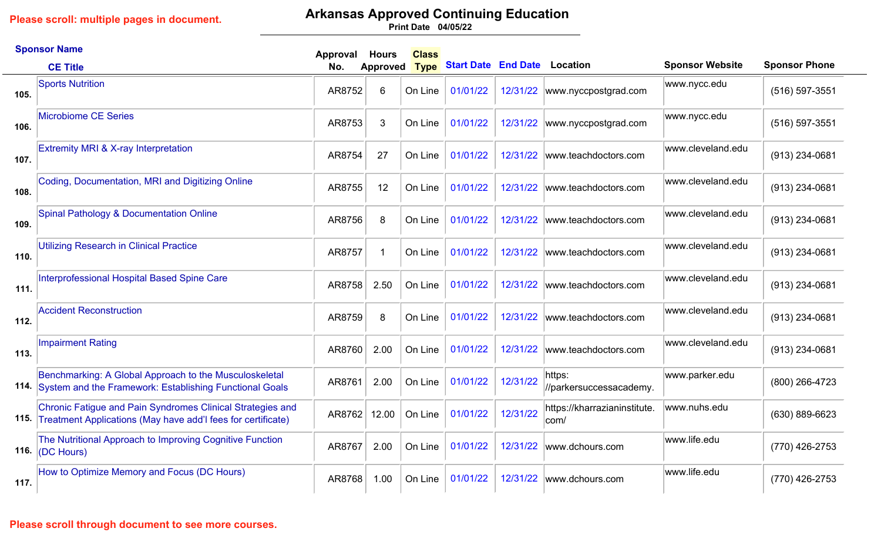# **Arkansas Approved Continuing Education**

**04/05/22 Print Date**

|      | <b>Sponsor Name</b>                                                                                                             | Approval | <b>Hours</b>    | <b>Class</b> |                            |          |                                      |                        |                      |
|------|---------------------------------------------------------------------------------------------------------------------------------|----------|-----------------|--------------|----------------------------|----------|--------------------------------------|------------------------|----------------------|
|      | <b>CE Title</b>                                                                                                                 | No.      | <b>Approved</b> | <b>Type</b>  | <b>Start Date End Date</b> |          | Location                             | <b>Sponsor Website</b> | <b>Sponsor Phone</b> |
| 105. | <b>Sports Nutrition</b>                                                                                                         | AR8752   | 6               | On Line      | 01/01/22                   | 12/31/22 | www.nyccpostgrad.com                 | www.nycc.edu           | (516) 597-3551       |
| 106. | <b>Microbiome CE Series</b>                                                                                                     | AR8753   | 3               | On Line      | 01/01/22                   | 12/31/22 | www.nyccpostgrad.com                 | www.nycc.edu           | (516) 597-3551       |
| 107. | <b>Extremity MRI &amp; X-ray Interpretation</b>                                                                                 | AR8754   | 27              | On Line      | 01/01/22                   | 12/31/22 | www.teachdoctors.com                 | www.cleveland.edu      | (913) 234-0681       |
| 108. | Coding, Documentation, MRI and Digitizing Online                                                                                | AR8755   | 12              | On Line      | 01/01/22                   | 12/31/22 | www.teachdoctors.com                 | www.cleveland.edu      | (913) 234-0681       |
| 109. | <b>Spinal Pathology &amp; Documentation Online</b>                                                                              | AR8756   | 8               | On Line      | 01/01/22                   | 12/31/22 | www.teachdoctors.com                 | www.cleveland.edu      | (913) 234-0681       |
| 110. | <b>Utilizing Research in Clinical Practice</b>                                                                                  | AR8757   | -1              | On Line      | 01/01/22                   | 12/31/22 | www.teachdoctors.com                 | www.cleveland.edu      | $(913)$ 234-0681     |
| 111. | Interprofessional Hospital Based Spine Care                                                                                     | AR8758   | 2.50            | On Line      | 01/01/22                   | 12/31/22 | www.teachdoctors.com                 | www.cleveland.edu      | (913) 234-0681       |
| 112. | <b>Accident Reconstruction</b>                                                                                                  | AR8759   | 8               | On Line      | 01/01/22                   | 12/31/22 | www.teachdoctors.com                 | www.cleveland.edu      | (913) 234-0681       |
| 113. | <b>Impairment Rating</b>                                                                                                        | AR8760   | 2.00            | On Line      | 01/01/22                   | 12/31/22 | www.teachdoctors.com                 | www.cleveland.edu      | (913) 234-0681       |
|      | Benchmarking: A Global Approach to the Musculoskeletal<br>114. System and the Framework: Establishing Functional Goals          | AR8761   | 2.00            | On Line      | 01/01/22                   | 12/31/22 | https:<br>//parkersuccessacademy.    | www.parker.edu         | (800) 266-4723       |
|      | Chronic Fatigue and Pain Syndromes Clinical Strategies and<br>115. Treatment Applications (May have add'I fees for certificate) | AR8762   | 12.00           | On Line      | 01/01/22                   | 12/31/22 | https://kharrazianinstitute.<br>com/ | www.nuhs.edu           | (630) 889-6623       |
|      | The Nutritional Approach to Improving Cognitive Function<br>116. $\vert$ (DC Hours)                                             | AR8767   | 2.00            | On Line      | 01/01/22                   | 12/31/22 | www.dchours.com                      | www.life.edu           | (770) 426-2753       |
| 117. | How to Optimize Memory and Focus (DC Hours)                                                                                     | AR8768   | 1.00            | On Line      | 01/01/22                   | 12/31/22 | www.dchours.com                      | www.life.edu           | (770) 426-2753       |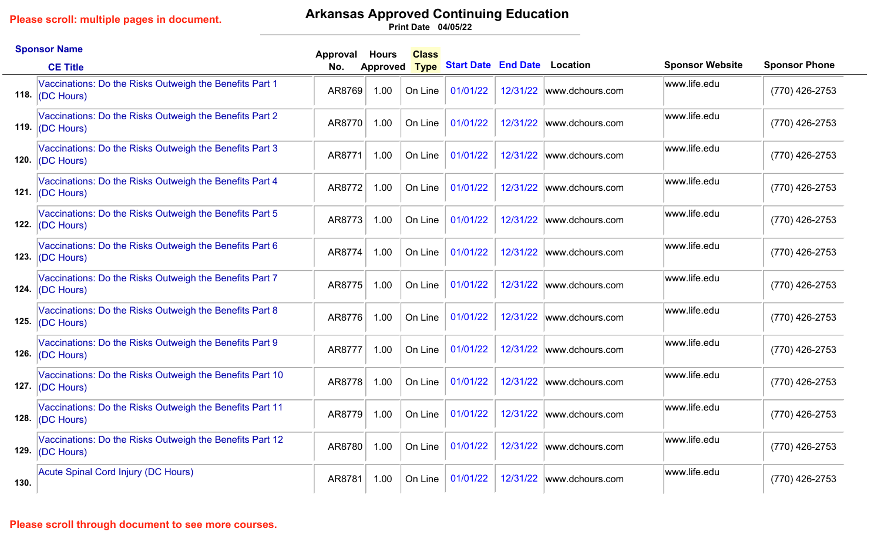# **Arkansas Approved Continuing Education**

**04/05/22 Print Date**

|      | <b>Sponsor Name</b>                                                             | Approval | <b>Hours</b>    | <b>Class</b> |                                   |          |                          |                        |                      |
|------|---------------------------------------------------------------------------------|----------|-----------------|--------------|-----------------------------------|----------|--------------------------|------------------------|----------------------|
|      | <b>CE Title</b>                                                                 | No.      | <b>Approved</b> |              | Type Start Date End Date Location |          |                          | <b>Sponsor Website</b> | <b>Sponsor Phone</b> |
|      | Vaccinations: Do the Risks Outweigh the Benefits Part 1<br>118. $ (DC$ Hours)   | AR8769   | 1.00            | On Line      | 01/01/22                          | 12/31/22 | www.dchours.com          | www.life.edu           | (770) 426-2753       |
|      | Vaccinations: Do the Risks Outweigh the Benefits Part 2<br>119. $ $ (DC Hours)  | AR8770   | 1.00            | On Line      | 01/01/22                          | 12/31/22 | www.dchours.com          | www.life.edu           | (770) 426-2753       |
|      | Vaccinations: Do the Risks Outweigh the Benefits Part 3<br>120. $ $ (DC Hours)  | AR8771   | 1.00            | On Line      | 01/01/22                          | 12/31/22 | www.dchours.com          | www.life.edu           | (770) 426-2753       |
|      | Vaccinations: Do the Risks Outweigh the Benefits Part 4<br>121. $ $ (DC Hours)  | AR8772   | 1.00            | On Line      | 01/01/22                          |          | 12/31/22 www.dchours.com | www.life.edu           | (770) 426-2753       |
|      | Vaccinations: Do the Risks Outweigh the Benefits Part 5<br>122. $ (DC$ Hours)   | AR8773   | 1.00            | On Line      | 01/01/22                          | 12/31/22 | www.dchours.com          | www.life.edu           | (770) 426-2753       |
| 123. | Vaccinations: Do the Risks Outweigh the Benefits Part 6<br>$ (DC$ Hours $)$     | AR8774   | 1.00            | On Line      | 01/01/22                          | 12/31/22 | www.dchours.com          | www.life.edu           | (770) 426-2753       |
|      | Vaccinations: Do the Risks Outweigh the Benefits Part 7<br>124. $ (DC$ Hours)   | AR8775   | 1.00            | On Line      | 01/01/22                          | 12/31/22 | www.dchours.com          | www.life.edu           | (770) 426-2753       |
|      | Vaccinations: Do the Risks Outweigh the Benefits Part 8<br>125. $ (DC$ Hours)   | AR8776   | 1.00            | On Line      | 01/01/22                          | 12/31/22 | www.dchours.com          | www.life.edu           | (770) 426-2753       |
|      | Vaccinations: Do the Risks Outweigh the Benefits Part 9<br>126. $ (DC$ Hours)   | AR8777   | 1.00            | On Line      | 01/01/22                          | 12/31/22 | www.dchours.com          | www.life.edu           | (770) 426-2753       |
|      | Vaccinations: Do the Risks Outweigh the Benefits Part 10<br>127. $ (DC$ Hours)  | AR8778   | 1.00            | On Line      | 01/01/22                          | 12/31/22 | www.dchours.com          | www.life.edu           | (770) 426-2753       |
| 128. | Vaccinations: Do the Risks Outweigh the Benefits Part 11<br>(DC Hours)          | AR8779   | 1.00            | On Line      | 01/01/22                          | 12/31/22 | www.dchours.com          | www.life.edu           | (770) 426-2753       |
|      | Vaccinations: Do the Risks Outweigh the Benefits Part 12<br>129. $ $ (DC Hours) | AR8780   | 1.00            | On Line      | 01/01/22                          | 12/31/22 | www.dchours.com          | www.life.edu           | (770) 426-2753       |
| 130. | Acute Spinal Cord Injury (DC Hours)                                             | AR8781   | 1.00            | On Line      | 01/01/22                          |          | 12/31/22 www.dchours.com | www.life.edu           | (770) 426-2753       |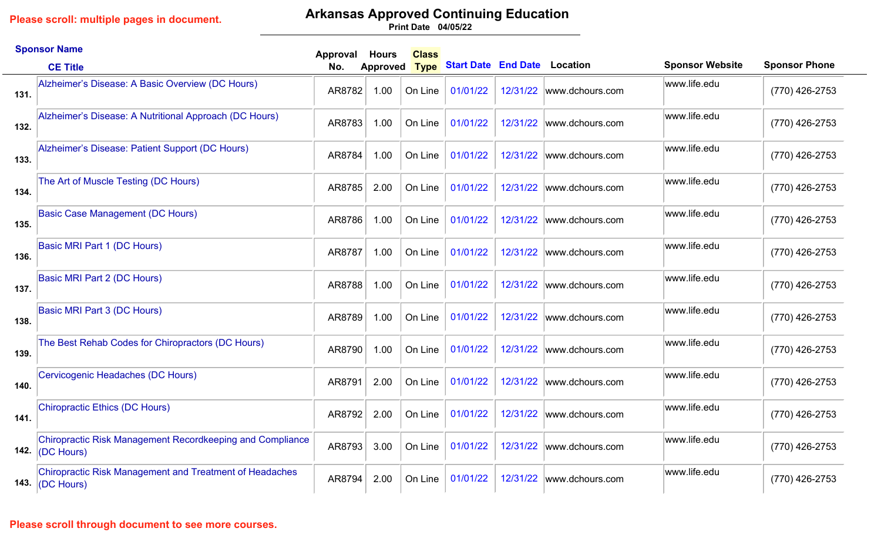## **Arkansas Approved Continuing Education**

**04/05/22 Print Date**

|      | <b>Sponsor Name</b>                                                                  | Approval | <b>Hours</b>    | <b>Class</b> |                                     |          |                           |                        |                      |
|------|--------------------------------------------------------------------------------------|----------|-----------------|--------------|-------------------------------------|----------|---------------------------|------------------------|----------------------|
|      | <b>CE Title</b>                                                                      | No.      | <b>Approved</b> | <b>Type</b>  | <b>Start Date End Date Location</b> |          |                           | <b>Sponsor Website</b> | <b>Sponsor Phone</b> |
| 131. | Alzheimer's Disease: A Basic Overview (DC Hours)                                     | AR8782   | 1.00            | On Line      | 01/01/22                            |          | 12/31/22 www.dchours.com  | www.life.edu           | (770) 426-2753       |
| 132. | Alzheimer's Disease: A Nutritional Approach (DC Hours)                               | AR8783   | 1.00            | On Line      | 01/01/22                            | 12/31/22 | www.dchours.com           | www.life.edu           | (770) 426-2753       |
| 133. | Alzheimer's Disease: Patient Support (DC Hours)                                      | AR8784   | 1.00            | On Line      | 01/01/22                            | 12/31/22 | www.dchours.com           | www.life.edu           | (770) 426-2753       |
| 134. | The Art of Muscle Testing (DC Hours)                                                 | AR8785   | 2.00            | On Line      | 01/01/22                            |          | 12/31/22 www.dchours.com  | www.life.edu           | (770) 426-2753       |
| 135. | <b>Basic Case Management (DC Hours)</b>                                              | AR8786   | 1.00            | On Line      | 01/01/22                            | 12/31/22 | www.dchours.com           | www.life.edu           | (770) 426-2753       |
| 136. | <b>Basic MRI Part 1 (DC Hours)</b>                                                   | AR8787   | 1.00            | On Line      | 01/01/22                            | 12/31/22 | www.dchours.com           | www.life.edu           | (770) 426-2753       |
| 137. | <b>Basic MRI Part 2 (DC Hours)</b>                                                   | AR8788   | 1.00            | On Line      | 01/01/22                            | 12/31/22 | www.dchours.com           | www.life.edu           | (770) 426-2753       |
| 138. | Basic MRI Part 3 (DC Hours)                                                          | AR8789   | 1.00            | On Line      | 01/01/22                            |          | 12/31/22 www.dchours.com  | www.life.edu           | (770) 426-2753       |
| 139. | The Best Rehab Codes for Chiropractors (DC Hours)                                    | AR8790   | 1.00            | On Line      | 01/01/22                            |          | 12/31/22  www.dchours.com | www.life.edu           | (770) 426-2753       |
| 140. | Cervicogenic Headaches (DC Hours)                                                    | AR8791   | 2.00            | On Line      | 01/01/22                            | 12/31/22 | www.dchours.com           | www.life.edu           | (770) 426-2753       |
| 141. | <b>Chiropractic Ethics (DC Hours)</b>                                                | AR8792   | 2.00            | On Line      | 01/01/22                            | 12/31/22 | www.dchours.com           | www.life.edu           | (770) 426-2753       |
| 142. | <b>Chiropractic Risk Management Recordkeeping and Compliance</b><br>(DC Hours)       | AR8793   | 3.00            | On Line      | 01/01/22                            | 12/31/22 | www.dchours.com           | www.life.edu           | (770) 426-2753       |
|      | <b>Chiropractic Risk Management and Treatment of Headaches</b><br>143. $ (DC$ Hours) | AR8794   | 2.00            | On Line      | 01/01/22                            |          | 12/31/22 www.dchours.com  | www.life.edu           | (770) 426-2753       |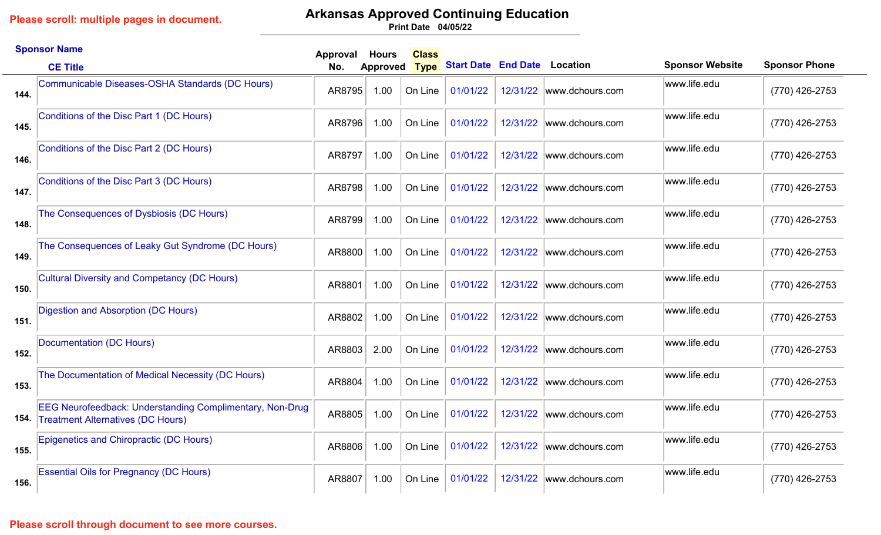## **Arkansas Approved Continuing Education**

**04/05/22 Print Date**

|      | <b>Sponsor Name</b>                                                                                         | Approval | <b>Hours</b>    | <b>Class</b> |                                     |          |                          |                        |                      |
|------|-------------------------------------------------------------------------------------------------------------|----------|-----------------|--------------|-------------------------------------|----------|--------------------------|------------------------|----------------------|
|      | <b>CE Title</b>                                                                                             | No.      | <b>Approved</b> | <b>Type</b>  | <b>Start Date End Date Location</b> |          |                          | <b>Sponsor Website</b> | <b>Sponsor Phone</b> |
| 144. | Communicable Diseases-OSHA Standards (DC Hours)                                                             | AR8795   | 1.00            | On Line      | 01/01/22                            | 12/31/22 | www.dchours.com          | www.life.edu           | (770) 426-2753       |
| 145. | Conditions of the Disc Part 1 (DC Hours)                                                                    | AR8796   | 1.00            | On Line      | 01/01/22                            | 12/31/22 | www.dchours.com          | www.life.edu           | (770) 426-2753       |
| 146. | Conditions of the Disc Part 2 (DC Hours)                                                                    | AR8797   | 1.00            | On Line      | 01/01/22                            | 12/31/22 | www.dchours.com          | www.life.edu           | (770) 426-2753       |
| 147. | Conditions of the Disc Part 3 (DC Hours)                                                                    | AR8798   | 1.00            | On Line      | 01/01/22                            |          | 12/31/22 www.dchours.com | www.life.edu           | (770) 426-2753       |
| 148. | The Consequences of Dysbiosis (DC Hours)                                                                    | AR8799   | 1.00            | On Line      | 01/01/22                            | 12/31/22 | www.dchours.com          | www.life.edu           | (770) 426-2753       |
| 149. | The Consequences of Leaky Gut Syndrome (DC Hours)                                                           | AR8800   | 1.00            | On Line      | 01/01/22                            | 12/31/22 | www.dchours.com          | www.life.edu           | (770) 426-2753       |
| 150. | <b>Cultural Diversity and Competancy (DC Hours)</b>                                                         | AR8801   | 1.00            | On Line      | 01/01/22                            | 12/31/22 | www.dchours.com          | www.life.edu           | (770) 426-2753       |
| 151. | Digestion and Absorption (DC Hours)                                                                         | AR8802   | 1.00            | On Line      | 01/01/22                            |          | 12/31/22 www.dchours.com | www.life.edu           | (770) 426-2753       |
| 152. | Documentation (DC Hours)                                                                                    | AR8803   | 2.00            | On Line      | 01/01/22                            | 12/31/22 | www.dchours.com          | www.life.edu           | (770) 426-2753       |
| 153. | The Documentation of Medical Necessity (DC Hours)                                                           | AR8804   | 1.00            | On Line      | 01/01/22                            | 12/31/22 | www.dchours.com          | www.life.edu           | (770) 426-2753       |
| 154. | <b>EEG Neurofeedback: Understanding Complimentary, Non-Drug</b><br><b>Treatment Alternatives (DC Hours)</b> | AR8805   | 1.00            | On Line      | 01/01/22                            | 12/31/22 | www.dchours.com          | www.life.edu           | (770) 426-2753       |
| 155. | Epigenetics and Chiropractic (DC Hours)                                                                     | AR8806   | 1.00            | On Line      | 01/01/22                            | 12/31/22 | www.dchours.com          | www.life.edu           | (770) 426-2753       |
| 156. | <b>Essential Oils for Pregnancy (DC Hours)</b>                                                              | AR8807   | 1.00            | On Line      | 01/01/22                            | 12/31/22 | www.dchours.com          | www.life.edu           | (770) 426-2753       |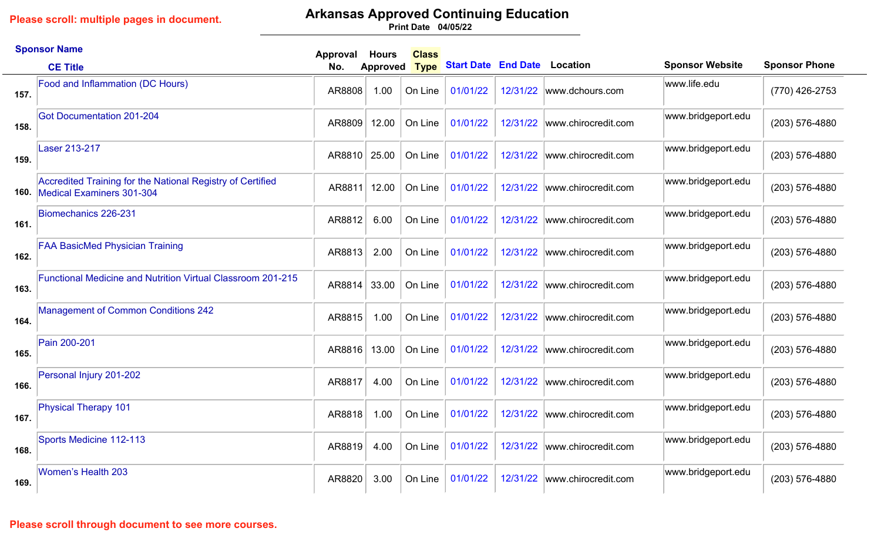## **Arkansas Approved Continuing Education**

**04/05/22 Print Date**

|      | <b>Sponsor Name</b>                                                                     | Approval | <b>Hours</b>    | <b>Class</b> |                            |          |                     |                        |                      |
|------|-----------------------------------------------------------------------------------------|----------|-----------------|--------------|----------------------------|----------|---------------------|------------------------|----------------------|
|      | <b>CE Title</b>                                                                         | No.      | <b>Approved</b> | <b>Type</b>  | <b>Start Date End Date</b> |          | Location            | <b>Sponsor Website</b> | <b>Sponsor Phone</b> |
| 157. | Food and Inflammation (DC Hours)                                                        | AR8808   | 1.00            | On Line      | 01/01/22                   | 12/31/22 | www.dchours.com     | www.life.edu           | (770) 426-2753       |
| 158. | <b>Got Documentation 201-204</b>                                                        | AR8809   | 12.00           | On Line      | 01/01/22                   | 12/31/22 | www.chirocredit.com | www.bridgeport.edu     | (203) 576-4880       |
| 159. | <b>Laser 213-217</b>                                                                    | AR8810   | 25.00           | On Line      | 01/01/22                   | 12/31/22 | www.chirocredit.com | www.bridgeport.edu     | (203) 576-4880       |
| 160. | Accredited Training for the National Registry of Certified<br>Medical Examiners 301-304 | AR8811   | 12.00           | On Line      | 01/01/22                   | 12/31/22 | www.chirocredit.com | www.bridgeport.edu     | (203) 576-4880       |
| 161. | Biomechanics 226-231                                                                    | AR8812   | 6.00            | On Line      | 01/01/22                   | 12/31/22 | www.chirocredit.com | www.bridgeport.edu     | (203) 576-4880       |
| 162. | <b>FAA BasicMed Physician Training</b>                                                  | AR8813   | 2.00            | On Line      | 01/01/22                   | 12/31/22 | www.chirocredit.com | www.bridgeport.edu     | (203) 576-4880       |
| 163. | <b>Functional Medicine and Nutrition Virtual Classroom 201-215</b>                      | AR8814   | 33.00           | On Line      | 01/01/22                   | 12/31/22 | www.chirocredit.com | www.bridgeport.edu     | (203) 576-4880       |
| 164. | <b>Management of Common Conditions 242</b>                                              | AR8815   | 1.00            | On Line      | 01/01/22                   | 12/31/22 | www.chirocredit.com | www.bridgeport.edu     | (203) 576-4880       |
| 165. | Pain 200-201                                                                            | AR8816   | 13.00           | On Line      | 01/01/22                   | 12/31/22 | www.chirocredit.com | www.bridgeport.edu     | (203) 576-4880       |
| 166. | Personal Injury 201-202                                                                 | AR8817   | 4.00            | On Line      | 01/01/22                   | 12/31/22 | www.chirocredit.com | www.bridgeport.edu     | (203) 576-4880       |
| 167. | <b>Physical Therapy 101</b>                                                             | AR8818   | 1.00            | On Line      | 01/01/22                   | 12/31/22 | www.chirocredit.com | www.bridgeport.edu     | (203) 576-4880       |
| 168. | Sports Medicine 112-113                                                                 | AR8819   | 4.00            | On Line      | 01/01/22                   | 12/31/22 | www.chirocredit.com | www.bridgeport.edu     | (203) 576-4880       |
| 169. | <b>Women's Health 203</b>                                                               | AR8820   | 3.00            | On Line      | 01/01/22                   | 12/31/22 | www.chirocredit.com | www.bridgeport.edu     | (203) 576-4880       |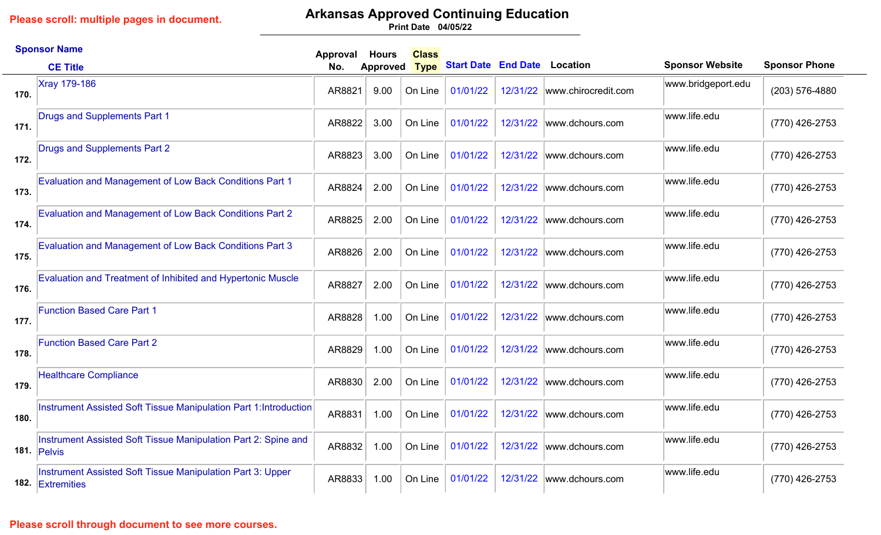# **Arkansas Approved Continuing Education**

**04/05/22 Print Date**

|      | <b>Sponsor Name</b>                                                                         | Approval | <b>Hours</b> | <b>Class</b> |                                     |          |                              |                        |                      |
|------|---------------------------------------------------------------------------------------------|----------|--------------|--------------|-------------------------------------|----------|------------------------------|------------------------|----------------------|
|      | <b>CE Title</b>                                                                             | No.      | Approved     | <b>Type</b>  | <b>Start Date End Date Location</b> |          |                              | <b>Sponsor Website</b> | <b>Sponsor Phone</b> |
| 170. | <b>Xray 179-186</b>                                                                         | AR8821   | 9.00         | On Line      | 01/01/22                            |          | 12/31/22 www.chirocredit.com | www.bridgeport.edu     | (203) 576-4880       |
| 171. | <b>Drugs and Supplements Part 1</b>                                                         | AR8822   | 3.00         | On Line      | 01/01/22                            | 12/31/22 | www.dchours.com              | www.life.edu           | (770) 426-2753       |
| 172. | Drugs and Supplements Part 2                                                                | AR8823   | 3.00         | On Line      | 01/01/22                            | 12/31/22 | www.dchours.com              | www.life.edu           | (770) 426-2753       |
| 173. | <b>Evaluation and Management of Low Back Conditions Part 1</b>                              | AR8824   | 2.00         | On Line      | 01/01/22                            | 12/31/22 | www.dchours.com              | www.life.edu           | (770) 426-2753       |
| 174. | <b>Evaluation and Management of Low Back Conditions Part 2</b>                              | AR8825   | 2.00         | On Line      | 01/01/22                            | 12/31/22 | www.dchours.com              | www.life.edu           | (770) 426-2753       |
| 175. | <b>Evaluation and Management of Low Back Conditions Part 3</b>                              | AR8826   | 2.00         | On Line      | 01/01/22                            | 12/31/22 | www.dchours.com              | www.life.edu           | (770) 426-2753       |
| 176. | Evaluation and Treatment of Inhibited and Hypertonic Muscle                                 | AR8827   | 2.00         | On Line      | 01/01/22                            | 12/31/22 | www.dchours.com              | www.life.edu           | (770) 426-2753       |
| 177. | <b>Function Based Care Part 1</b>                                                           | AR8828   | 1.00         | On Line      | 01/01/22                            | 12/31/22 | www.dchours.com              | www.life.edu           | (770) 426-2753       |
| 178. | <b>Function Based Care Part 2</b>                                                           | AR8829   | 1.00         | On Line      | 01/01/22                            | 12/31/22 | www.dchours.com              | www.life.edu           | (770) 426-2753       |
| 179. | <b>Healthcare Compliance</b>                                                                | AR8830   | 2.00         | On Line      | 01/01/22                            | 12/31/22 | www.dchours.com              | www.life.edu           | (770) 426-2753       |
| 180. | Instrument Assisted Soft Tissue Manipulation Part 1: Introduction                           | AR8831   | 1.00         | On Line      | 01/01/22                            | 12/31/22 | www.dchours.com              | www.life.edu           | (770) 426-2753       |
|      | Instrument Assisted Soft Tissue Manipulation Part 2: Spine and<br>181. $ P_{\text{elvis}} $ | AR8832   | 1.00         | On Line      | 01/01/22                            | 12/31/22 | www.dchours.com              | www.life.edu           | (770) 426-2753       |
| 182. | Instrument Assisted Soft Tissue Manipulation Part 3: Upper<br>Extremities                   | AR8833   | 1.00         | On Line      | 01/01/22                            | 12/31/22 | www.dchours.com              | www.life.edu           | (770) 426-2753       |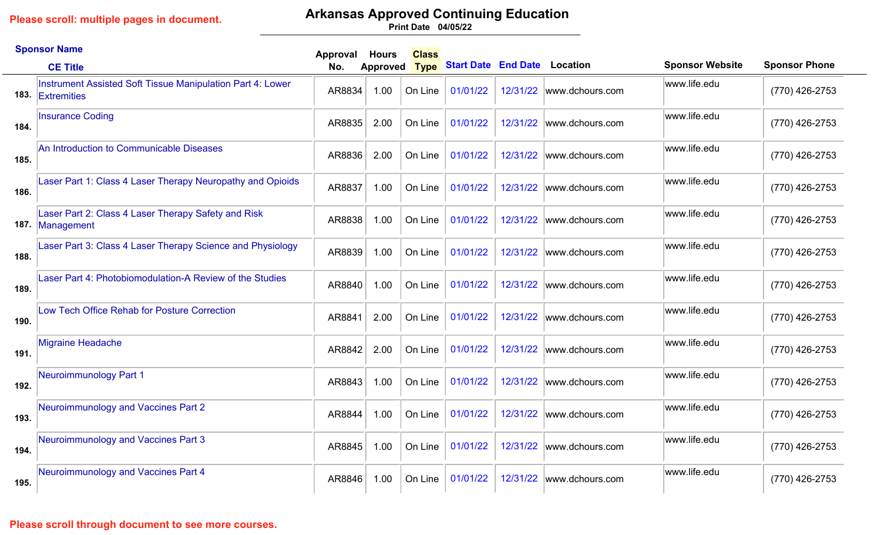## **Arkansas Approved Continuing Education**

**04/05/22 Print Date**

|      | <b>Sponsor Name</b>                                                            | Approval | <b>Hours</b>    | <b>Class</b> |                                     |          |                           |                        |                      |
|------|--------------------------------------------------------------------------------|----------|-----------------|--------------|-------------------------------------|----------|---------------------------|------------------------|----------------------|
|      | <b>CE Title</b>                                                                | No.      | <b>Approved</b> | <b>Type</b>  | <b>Start Date End Date Location</b> |          |                           | <b>Sponsor Website</b> | <b>Sponsor Phone</b> |
|      | Instrument Assisted Soft Tissue Manipulation Part 4: Lower<br>183. Extremities | AR8834   | 1.00            | On Line      | 01/01/22                            |          | 12/31/22 www.dchours.com  | www.life.edu           | (770) 426-2753       |
| 184. | <b>Insurance Coding</b>                                                        | AR8835   | 2.00            | On Line      | 01/01/22                            | 12/31/22 | www.dchours.com           | www.life.edu           | (770) 426-2753       |
| 185. | An Introduction to Communicable Diseases                                       | AR8836   | 2.00            | On Line      | 01/01/22                            | 12/31/22 | www.dchours.com           | www.life.edu           | (770) 426-2753       |
| 186. | Laser Part 1: Class 4 Laser Therapy Neuropathy and Opioids                     | AR8837   | 1.00            | On Line      | 01/01/22                            |          | 12/31/22 www.dchours.com  | www.life.edu           | (770) 426-2753       |
|      | Laser Part 2: Class 4 Laser Therapy Safety and Risk<br>187. Management         | AR8838   | 1.00            | On Line      | 01/01/22                            | 12/31/22 | www.dchours.com           | www.life.edu           | (770) 426-2753       |
| 188. | Laser Part 3: Class 4 Laser Therapy Science and Physiology                     | AR8839   | 1.00            | On Line      | 01/01/22                            | 12/31/22 | www.dchours.com           | www.life.edu           | (770) 426-2753       |
| 189. | Laser Part 4: Photobiomodulation-A Review of the Studies                       | AR8840   | 1.00            | On Line      | 01/01/22                            |          | 12/31/22  www.dchours.com | www.life.edu           | (770) 426-2753       |
| 190. | Low Tech Office Rehab for Posture Correction                                   | AR8841   | 2.00            | On Line      | 01/01/22                            |          | 12/31/22 www.dchours.com  | www.life.edu           | (770) 426-2753       |
| 191. | <b>Migraine Headache</b>                                                       | AR8842   | 2.00            | On Line      | 01/01/22                            | 12/31/22 | www.dchours.com           | www.life.edu           | (770) 426-2753       |
| 192. | Neuroimmunology Part 1                                                         | AR8843   | 1.00            | On Line      | 01/01/22                            | 12/31/22 | www.dchours.com           | www.life.edu           | (770) 426-2753       |
| 193. | Neuroimmunology and Vaccines Part 2                                            | AR8844   | 1.00            | On Line      | 01/01/22                            | 12/31/22 | www.dchours.com           | www.life.edu           | (770) 426-2753       |
| 194. | Neuroimmunology and Vaccines Part 3                                            | AR8845   | 1.00            | On Line      | 01/01/22                            |          | 12/31/22  www.dchours.com | www.life.edu           | (770) 426-2753       |
| 195. | Neuroimmunology and Vaccines Part 4                                            | AR8846   | 1.00            | On Line      | 01/01/22                            | 12/31/22 | www.dchours.com           | www.life.edu           | (770) 426-2753       |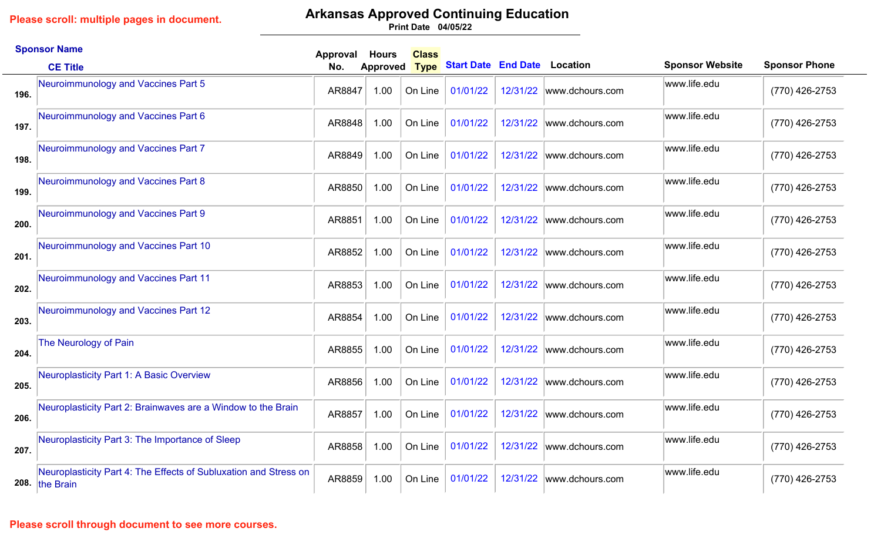### **Arkansas Approved Continuing Education**

**04/05/22 Print Date**

|      | <b>Sponsor Name</b>                                                                | Approval | <b>Hours</b>    | <b>Class</b> |                                     |          |                           |                        |                      |
|------|------------------------------------------------------------------------------------|----------|-----------------|--------------|-------------------------------------|----------|---------------------------|------------------------|----------------------|
|      | <b>CE Title</b>                                                                    | No.      | <b>Approved</b> | <b>Type</b>  | <b>Start Date End Date Location</b> |          |                           | <b>Sponsor Website</b> | <b>Sponsor Phone</b> |
| 196. | Neuroimmunology and Vaccines Part 5                                                | AR8847   | 1.00            | On Line      | 01/01/22                            |          | 12/31/22 www.dchours.com  | www.life.edu           | (770) 426-2753       |
| 197. | Neuroimmunology and Vaccines Part 6                                                | AR8848   | 1.00            | On Line      | 01/01/22                            | 12/31/22 | www.dchours.com           | www.life.edu           | (770) 426-2753       |
| 198. | Neuroimmunology and Vaccines Part 7                                                | AR8849   | 1.00            | On Line      | 01/01/22                            | 12/31/22 | www.dchours.com           | www.life.edu           | (770) 426-2753       |
| 199. | Neuroimmunology and Vaccines Part 8                                                | AR8850   | 1.00            | On Line      | 01/01/22                            | 12/31/22 | www.dchours.com           | www.life.edu           | (770) 426-2753       |
| 200. | Neuroimmunology and Vaccines Part 9                                                | AR8851   | 1.00            | On Line      | 01/01/22                            | 12/31/22 | www.dchours.com           | www.life.edu           | (770) 426-2753       |
| 201. | Neuroimmunology and Vaccines Part 10                                               | AR8852   | 1.00            | On Line      | 01/01/22                            | 12/31/22 | www.dchours.com           | www.life.edu           | (770) 426-2753       |
| 202. | Neuroimmunology and Vaccines Part 11                                               | AR8853   | 1.00            | On Line      | 01/01/22                            |          | 12/31/22 www.dchours.com  | www.life.edu           | (770) 426-2753       |
| 203. | Neuroimmunology and Vaccines Part 12                                               | AR8854   | 1.00            | On Line      | 01/01/22                            | 12/31/22 | www.dchours.com           | www.life.edu           | (770) 426-2753       |
| 204. | The Neurology of Pain                                                              | AR8855   | 1.00            | On Line      | 01/01/22                            |          | 12/31/22  www.dchours.com | www.life.edu           | (770) 426-2753       |
| 205. | Neuroplasticity Part 1: A Basic Overview                                           | AR8856   | 1.00            | On Line      | 01/01/22                            | 12/31/22 | www.dchours.com           | www.life.edu           | (770) 426-2753       |
| 206. | Neuroplasticity Part 2: Brainwaves are a Window to the Brain                       | AR8857   | 1.00            | On Line      | 01/01/22                            | 12/31/22 | www.dchours.com           | www.life.edu           | (770) 426-2753       |
| 207. | Neuroplasticity Part 3: The Importance of Sleep                                    | AR8858   | 1.00            | On Line      | 01/01/22                            |          | 12/31/22  www.dchours.com | www.life.edu           | (770) 426-2753       |
|      | Neuroplasticity Part 4: The Effects of Subluxation and Stress on<br>208. the Brain | AR8859   | 1.00            | On Line      | 01/01/22                            | 12/31/22 | www.dchours.com           | www.life.edu           | (770) 426-2753       |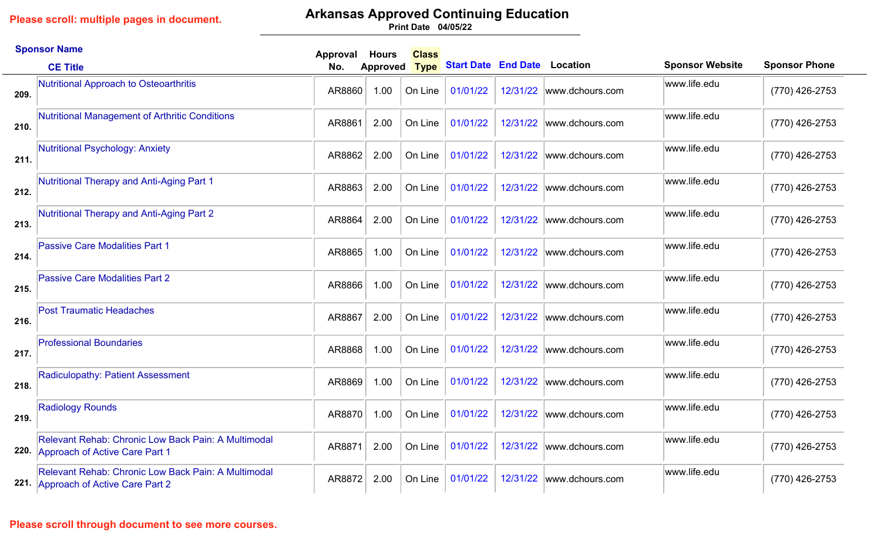## **Arkansas Approved Continuing Education**

**04/05/22 Print Date**

|      | <b>Sponsor Name</b>                                                                               | Approval | <b>Hours</b>    | <b>Class</b> |                                     |          |                           |                        |                      |
|------|---------------------------------------------------------------------------------------------------|----------|-----------------|--------------|-------------------------------------|----------|---------------------------|------------------------|----------------------|
|      | <b>CE Title</b>                                                                                   | No.      | <b>Approved</b> | <b>Type</b>  | <b>Start Date End Date Location</b> |          |                           | <b>Sponsor Website</b> | <b>Sponsor Phone</b> |
| 209. | Nutritional Approach to Osteoarthritis                                                            | AR8860   | 1.00            | On Line      | 01/01/22                            |          | 12/31/22 www.dchours.com  | www.life.edu           | (770) 426-2753       |
| 210. | Nutritional Management of Arthritic Conditions                                                    | AR8861   | 2.00            | On Line      | 01/01/22                            |          | 12/31/22 www.dchours.com  | www.life.edu           | (770) 426-2753       |
| 211. | Nutritional Psychology: Anxiety                                                                   | AR8862   | 2.00            | On Line      | 01/01/22                            | 12/31/22 | www.dchours.com           | www.life.edu           | (770) 426-2753       |
| 212. | <b>Nutritional Therapy and Anti-Aging Part 1</b>                                                  | AR8863   | 2.00            | On Line      | 01/01/22                            |          | 12/31/22 www.dchours.com  | www.life.edu           | (770) 426-2753       |
| 213. | Nutritional Therapy and Anti-Aging Part 2                                                         | AR8864   | 2.00            | On Line      | 01/01/22                            | 12/31/22 | www.dchours.com           | www.life.edu           | (770) 426-2753       |
| 214. | <b>Passive Care Modalities Part 1</b>                                                             | AR8865   | 1.00            | On Line      | 01/01/22                            | 12/31/22 | www.dchours.com           | www.life.edu           | (770) 426-2753       |
| 215. | <b>Passive Care Modalities Part 2</b>                                                             | AR8866   | 1.00            | On Line      | 01/01/22                            | 12/31/22 | www.dchours.com           | www.life.edu           | (770) 426-2753       |
| 216. | <b>Post Traumatic Headaches</b>                                                                   | AR8867   | 2.00            | On Line      | 01/01/22                            |          | 12/31/22 www.dchours.com  | www.life.edu           | (770) 426-2753       |
| 217. | <b>Professional Boundaries</b>                                                                    | AR8868   | 1.00            | On Line      | 01/01/22                            |          | 12/31/22  www.dchours.com | www.life.edu           | (770) 426-2753       |
| 218. | <b>Radiculopathy: Patient Assessment</b>                                                          | AR8869   | 1.00            | On Line      | 01/01/22                            |          | 12/31/22 www.dchours.com  | www.life.edu           | (770) 426-2753       |
| 219. | <b>Radiology Rounds</b>                                                                           | AR8870   | 1.00            | On Line      | 01/01/22                            | 12/31/22 | www.dchours.com           | www.life.edu           | (770) 426-2753       |
|      | Relevant Rehab: Chronic Low Back Pain: A Multimodal<br>220. Approach of Active Care Part 1        | AR8871   | 2.00            | On Line      | 01/01/22                            | 12/31/22 | www.dchours.com           | www.life.edu           | (770) 426-2753       |
|      | <b>Relevant Rehab: Chronic Low Back Pain: A Multimodal</b><br>221. Approach of Active Care Part 2 | AR8872   | 2.00            | On Line      | 01/01/22                            |          | 12/31/22 www.dchours.com  | www.life.edu           | (770) 426-2753       |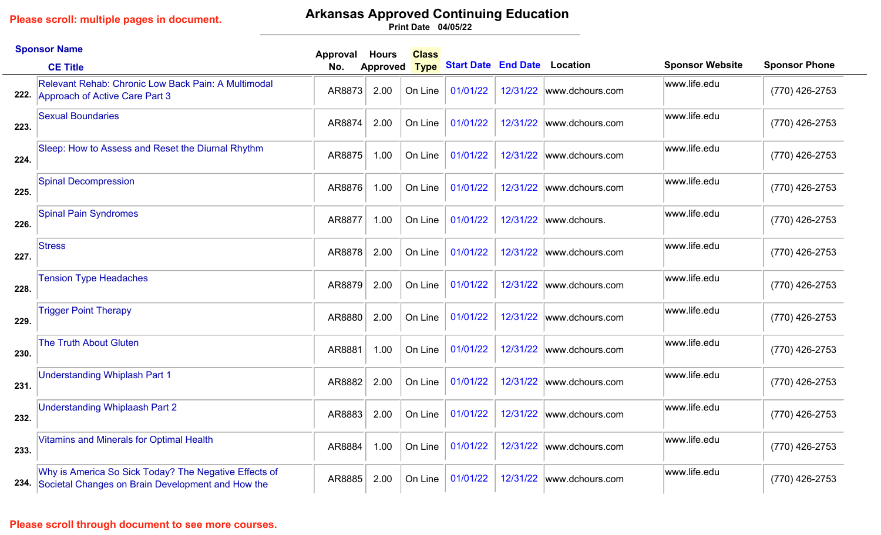# **Arkansas Approved Continuing Education**

**04/05/22 Print Date**

|      | <b>Sponsor Name</b>                                                                                             | Approval | <b>Hours</b>    | <b>Class</b> |                                     |          |                          |                        |                      |
|------|-----------------------------------------------------------------------------------------------------------------|----------|-----------------|--------------|-------------------------------------|----------|--------------------------|------------------------|----------------------|
|      | <b>CE Title</b>                                                                                                 | No.      | <b>Approved</b> | <b>Type</b>  | <b>Start Date End Date Location</b> |          |                          | <b>Sponsor Website</b> | <b>Sponsor Phone</b> |
| 222. | Relevant Rehab: Chronic Low Back Pain: A Multimodal<br>Approach of Active Care Part 3                           | AR8873   | 2.00            | On Line      | 01/01/22                            |          | 12/31/22 www.dchours.com | www.life.edu           | (770) 426-2753       |
| 223. | <b>Sexual Boundaries</b>                                                                                        | AR8874   | 2.00            | On Line      | 01/01/22                            |          | 12/31/22 www.dchours.com | www.life.edu           | $(770)$ 426-2753     |
| 224. | Sleep: How to Assess and Reset the Diurnal Rhythm                                                               | AR8875   | 1.00            | On Line      | 01/01/22                            | 12/31/22 | www.dchours.com          | www.life.edu           | (770) 426-2753       |
| 225. | <b>Spinal Decompression</b>                                                                                     | AR8876   | 1.00            | On Line      | 01/01/22                            | 12/31/22 | www.dchours.com          | www.life.edu           | (770) 426-2753       |
| 226. | <b>Spinal Pain Syndromes</b>                                                                                    | AR8877   | 1.00            | On Line      | 01/01/22                            | 12/31/22 | www.dchours.             | www.life.edu           | (770) 426-2753       |
| 227. | <b>Stress</b>                                                                                                   | AR8878   | 2.00            | On Line      | 01/01/22                            | 12/31/22 | www.dchours.com          | www.life.edu           | (770) 426-2753       |
| 228. | <b>Tension Type Headaches</b>                                                                                   | AR8879   | 2.00            | On Line      | 01/01/22                            | 12/31/22 | www.dchours.com          | www.life.edu           | (770) 426-2753       |
| 229. | <b>Trigger Point Therapy</b>                                                                                    | AR8880   | 2.00            | On Line      | 01/01/22                            | 12/31/22 | www.dchours.com          | www.life.edu           | (770) 426-2753       |
| 230. | <b>The Truth About Gluten</b>                                                                                   | AR8881   | 1.00            | On Line      | 01/01/22                            | 12/31/22 | www.dchours.com          | www.life.edu           | (770) 426-2753       |
| 231. | <b>Understanding Whiplash Part 1</b>                                                                            | AR8882   | 2.00            | On Line      | 01/01/22                            | 12/31/22 | www.dchours.com          | www.life.edu           | (770) 426-2753       |
| 232. | <b>Understanding Whiplaash Part 2</b>                                                                           | AR8883   | 2.00            | On Line      | 01/01/22                            | 12/31/22 | www.dchours.com          | www.life.edu           | $(770)$ 426-2753     |
| 233. | <b>Vitamins and Minerals for Optimal Health</b>                                                                 | AR8884   | 1.00            | On Line      | 01/01/22                            | 12/31/22 | www.dchours.com          | www.life.edu           | (770) 426-2753       |
|      | Why is America So Sick Today? The Negative Effects of<br>234. Societal Changes on Brain Development and How the | AR8885   | 2.00            | On Line      | 01/01/22                            |          | 12/31/22 www.dchours.com | www.life.edu           | (770) 426-2753       |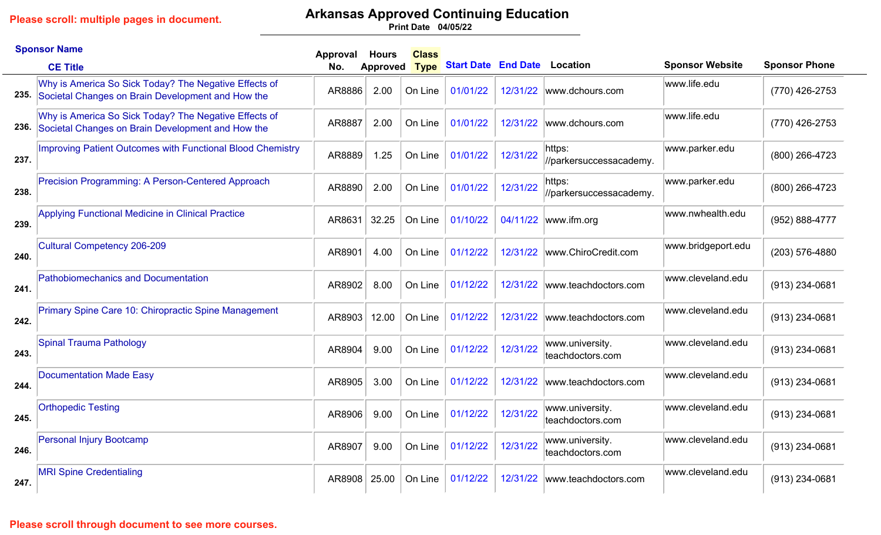# **Arkansas Approved Continuing Education**

**04/05/22 Print Date**

|      | <b>Sponsor Name</b>                                                                                             | Approval | <b>Hours</b>    | <b>Class</b> |                            |          |                                     |                        |                      |
|------|-----------------------------------------------------------------------------------------------------------------|----------|-----------------|--------------|----------------------------|----------|-------------------------------------|------------------------|----------------------|
|      | <b>CE Title</b>                                                                                                 | No.      | <b>Approved</b> | <b>Type</b>  | <b>Start Date End Date</b> |          | <b>Location</b>                     | <b>Sponsor Website</b> | <b>Sponsor Phone</b> |
|      | Why is America So Sick Today? The Negative Effects of<br>235. Societal Changes on Brain Development and How the | AR8886   | 2.00            | On Line      | 01/01/22                   | 12/31/22 | www.dchours.com                     | www.life.edu           | (770) 426-2753       |
|      | Why is America So Sick Today? The Negative Effects of<br>236. Societal Changes on Brain Development and How the | AR8887   | 2.00            | On Line      | 01/01/22                   | 12/31/22 | www.dchours.com                     | www.life.edu           | (770) 426-2753       |
| 237. | <b>Improving Patient Outcomes with Functional Blood Chemistry</b>                                               | AR8889   | 1.25            | On Line      | 01/01/22                   | 12/31/22 | https:<br>//parkersuccessacademy.   | www.parker.edu         | (800) 266-4723       |
| 238. | Precision Programming: A Person-Centered Approach                                                               | AR8890   | 2.00            | On Line      | 01/01/22                   | 12/31/22 | https:<br>//parkersuccessacademy.   | www.parker.edu         | (800) 266-4723       |
| 239. | <b>Applying Functional Medicine in Clinical Practice</b>                                                        | AR8631   | 32.25           | On Line      | 01/10/22                   | 04/11/22 | www.ifm.org                         | www.nwhealth.edu       | (952) 888-4777       |
| 240. | <b>Cultural Competency 206-209</b>                                                                              | AR8901   | 4.00            | On Line      | 01/12/22                   | 12/31/22 | www.ChiroCredit.com                 | www.bridgeport.edu     | (203) 576-4880       |
| 241. | <b>Pathobiomechanics and Documentation</b>                                                                      | AR8902   | 8.00            | On Line      | 01/12/22                   | 12/31/22 | www.teachdoctors.com                | www.cleveland.edu      | (913) 234-0681       |
| 242. | Primary Spine Care 10: Chiropractic Spine Management                                                            | AR8903   | 12.00           | On Line      | 01/12/22                   | 12/31/22 | www.teachdoctors.com                | www.cleveland.edu      | (913) 234-0681       |
| 243. | Spinal Trauma Pathology                                                                                         | AR8904   | 9.00            | On Line      | 01/12/22                   | 12/31/22 | www.university.<br>teachdoctors.com | www.cleveland.edu      | (913) 234-0681       |
| 244. | <b>Documentation Made Easy</b>                                                                                  | AR8905   | 3.00            | On Line      | 01/12/22                   | 12/31/22 | www.teachdoctors.com                | www.cleveland.edu      | (913) 234-0681       |
| 245. | <b>Orthopedic Testing</b>                                                                                       | AR8906   | 9.00            | On Line      | 01/12/22                   | 12/31/22 | www.university.<br>teachdoctors.com | www.cleveland.edu      | (913) 234-0681       |
| 246. | <b>Personal Injury Bootcamp</b>                                                                                 | AR8907   | 9.00            | On Line      | 01/12/22                   | 12/31/22 | www.university.<br>teachdoctors.com | www.cleveland.edu      | (913) 234-0681       |
| 247. | <b>MRI Spine Credentialing</b>                                                                                  | AR8908   | 25.00           | On Line      | 01/12/22                   | 12/31/22 | www.teachdoctors.com                | www.cleveland.edu      | (913) 234-0681       |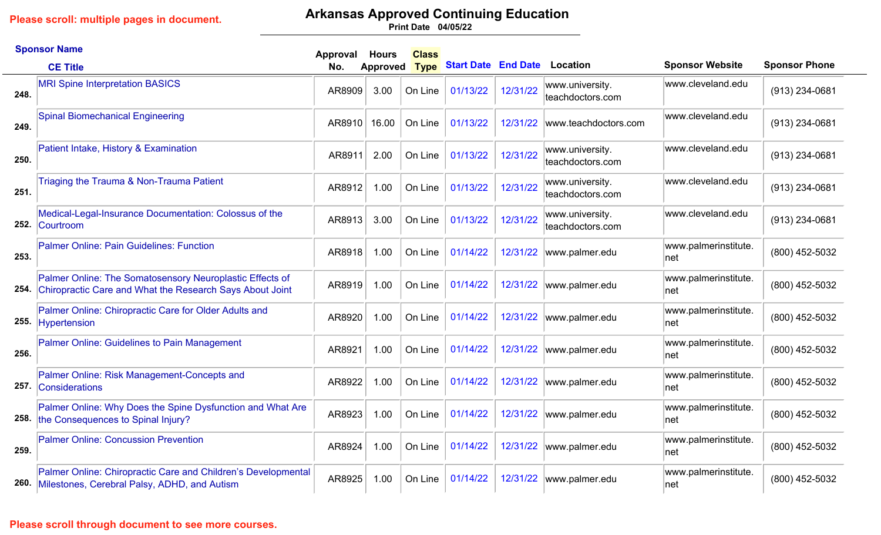## **Arkansas Approved Continuing Education**

**04/05/22 Print Date**

|      | <b>Sponsor Name</b>                                                                                                  | Approval | <b>Hours</b>    | <b>Class</b> |                            |          |                                     |                              |                      |
|------|----------------------------------------------------------------------------------------------------------------------|----------|-----------------|--------------|----------------------------|----------|-------------------------------------|------------------------------|----------------------|
|      | <b>CE Title</b>                                                                                                      | No.      | <b>Approved</b> | <b>Type</b>  | <b>Start Date End Date</b> |          | Location                            | <b>Sponsor Website</b>       | <b>Sponsor Phone</b> |
| 248. | <b>MRI Spine Interpretation BASICS</b>                                                                               | AR8909   | 3.00            | On Line      | 01/13/22                   | 12/31/22 | www.university.<br>teachdoctors.com | www.cleveland.edu            | (913) 234-0681       |
| 249. | <b>Spinal Biomechanical Engineering</b>                                                                              | AR8910   | 16.00           | On Line      | 01/13/22                   | 12/31/22 | www.teachdoctors.com                | www.cleveland.edu            | (913) 234-0681       |
| 250. | Patient Intake, History & Examination                                                                                | AR8911   | 2.00            | On Line      | 01/13/22                   | 12/31/22 | www.university.<br>teachdoctors.com | www.cleveland.edu            | (913) 234-0681       |
| 251. | Triaging the Trauma & Non-Trauma Patient                                                                             | AR8912   | 1.00            | On Line      | 01/13/22                   | 12/31/22 | www.university.<br>teachdoctors.com | www.cleveland.edu            | $(913)$ 234-0681     |
| 252. | Medical-Legal-Insurance Documentation: Colossus of the<br>Courtroom                                                  | AR8913   | 3.00            | On Line      | 01/13/22                   | 12/31/22 | www.university.<br>teachdoctors.com | www.cleveland.edu            | (913) 234-0681       |
| 253. | Palmer Online: Pain Guidelines: Function                                                                             | AR8918   | 1.00            | On Line      | 01/14/22                   | 12/31/22 | www.palmer.edu                      | www.palmerinstitute.<br>net  | (800) 452-5032       |
| 254. | Palmer Online: The Somatosensory Neuroplastic Effects of<br>Chiropractic Care and What the Research Says About Joint | AR8919   | 1.00            | On Line      | 01/14/22                   | 12/31/22 | www.palmer.edu                      | www.palmerinstitute.<br>∣net | (800) 452-5032       |
|      | Palmer Online: Chiropractic Care for Older Adults and<br>255. Hypertension                                           | AR8920   | 1.00            | On Line      | 01/14/22                   | 12/31/22 | www.palmer.edu                      | www.palmerinstitute.<br>∣net | (800) 452-5032       |
| 256. | Palmer Online: Guidelines to Pain Management                                                                         | AR8921   | 1.00            | On Line      | 01/14/22                   | 12/31/22 | www.palmer.edu                      | www.palmerinstitute.<br>∣net | (800) 452-5032       |
|      | Palmer Online: Risk Management-Concepts and<br>257. Considerations                                                   | AR8922   | 1.00            | On Line      | 01/14/22                   | 12/31/22 | www.palmer.edu                      | www.palmerinstitute.<br>∣net | (800) 452-5032       |
|      | Palmer Online: Why Does the Spine Dysfunction and What Are<br>258. the Consequences to Spinal Injury?                | AR8923   | 1.00            | On Line      | 01/14/22                   | 12/31/22 | www.palmer.edu                      | www.palmerinstitute.<br> net | (800) 452-5032       |
| 259. | <b>Palmer Online: Concussion Prevention</b>                                                                          | AR8924   | 1.00            | On Line      | 01/14/22                   | 12/31/22 | www.palmer.edu                      | www.palmerinstitute.<br>net  | (800) 452-5032       |
|      | Palmer Online: Chiropractic Care and Children's Developmental<br>260. Milestones, Cerebral Palsy, ADHD, and Autism   | AR8925   | 1.00            | On Line      | 01/14/22                   |          | 12/31/22  www.palmer.edu            | www.palmerinstitute.<br>∣net | (800) 452-5032       |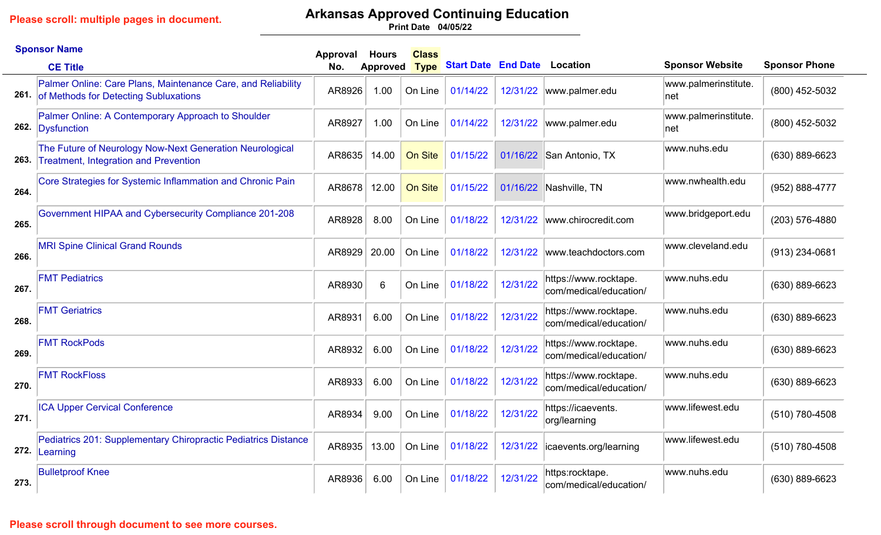# **Arkansas Approved Continuing Education**

**04/05/22 Print Date**

|      | <b>Sponsor Name</b>                                                                                        | Approval | <b>Hours</b> | <b>Class</b> |                            |          |                                                 |                              |                      |
|------|------------------------------------------------------------------------------------------------------------|----------|--------------|--------------|----------------------------|----------|-------------------------------------------------|------------------------------|----------------------|
|      | <b>CE Title</b>                                                                                            | No.      | Approved     | <b>Type</b>  | <b>Start Date End Date</b> |          | Location                                        | <b>Sponsor Website</b>       | <b>Sponsor Phone</b> |
|      | Palmer Online: Care Plans, Maintenance Care, and Reliability<br>261. of Methods for Detecting Subluxations | AR8926   | 1.00         | On Line      | 01/14/22                   |          | 12/31/22  www.palmer.edu                        | www.palmerinstitute.<br>net  | (800) 452-5032       |
|      | Palmer Online: A Contemporary Approach to Shoulder<br>262. Dysfunction                                     | AR8927   | 1.00         | On Line      | 01/14/22                   | 12/31/22 | www.palmer.edu                                  | www.palmerinstitute.<br>∣net | (800) 452-5032       |
| 263. | The Future of Neurology Now-Next Generation Neurological<br><b>Treatment, Integration and Prevention</b>   | AR8635   | 14.00        | On Site      | 01/15/22                   | 01/16/22 | San Antonio, TX                                 | www.nuhs.edu                 | (630) 889-6623       |
| 264. | Core Strategies for Systemic Inflammation and Chronic Pain                                                 | AR8678   | 12.00        | On Site      | 01/15/22                   | 01/16/22 | Nashville, TN                                   | www.nwhealth.edu             | (952) 888-4777       |
| 265. | Government HIPAA and Cybersecurity Compliance 201-208                                                      | AR8928   | 8.00         | On Line      | 01/18/22                   | 12/31/22 | www.chirocredit.com                             | www.bridgeport.edu           | (203) 576-4880       |
| 266. | <b>MRI Spine Clinical Grand Rounds</b>                                                                     | AR8929   | 20.00        | On Line      | 01/18/22                   | 12/31/22 | www.teachdoctors.com                            | www.cleveland.edu            | $(913)$ 234-0681     |
| 267. | <b>FMT Pediatrics</b>                                                                                      | AR8930   | 6            | On Line      | 01/18/22                   | 12/31/22 | https://www.rocktape.<br>com/medical/education/ | www.nuhs.edu                 | $(630) 889 - 6623$   |
| 268. | <b>FMT Geriatrics</b>                                                                                      | AR8931   | 6.00         | On Line      | 01/18/22                   | 12/31/22 | https://www.rocktape.<br>com/medical/education/ | www.nuhs.edu                 | $(630) 889 - 6623$   |
| 269. | <b>FMT RockPods</b>                                                                                        | AR8932   | 6.00         | On Line      | 01/18/22                   | 12/31/22 | https://www.rocktape.<br>com/medical/education/ | www.nuhs.edu                 | $(630) 889 - 6623$   |
| 270. | <b>FMT RockFloss</b>                                                                                       | AR8933   | 6.00         | On Line      | 01/18/22                   | 12/31/22 | https://www.rocktape.<br>com/medical/education/ | www.nuhs.edu                 | (630) 889-6623       |
| 271. | <b>ICA Upper Cervical Conference</b>                                                                       | AR8934   | 9.00         | On Line      | 01/18/22                   | 12/31/22 | https://icaevents.<br>org/learning              | www.lifewest.edu             | (510) 780-4508       |
| 272. | Pediatrics 201: Supplementary Chiropractic Pediatrics Distance<br>Learning                                 | AR8935   | 13.00        | On Line      | 01/18/22                   | 12/31/22 | icaevents.org/learning                          | www.lifewest.edu             | (510) 780-4508       |
| 273. | <b>Bulletproof Knee</b>                                                                                    | AR8936   | 6.00         | On Line      | 01/18/22                   | 12/31/22 | https:rocktape.<br>com/medical/education/       | www.nuhs.edu                 | $(630)$ 889-6623     |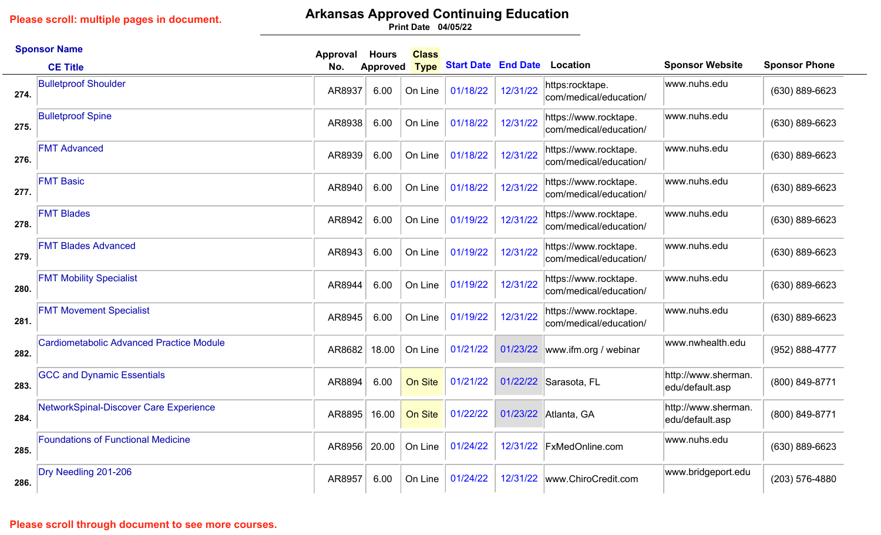**Please scroll: multiple pages in document.**

# **Arkansas Approved Continuing Education**

**04/05/22 Print Date**

|      | <b>Sponsor Name</b>                             | Approval | <b>Hours</b>    | <b>Class</b> |                            |          |                                                 |                                        |                      |
|------|-------------------------------------------------|----------|-----------------|--------------|----------------------------|----------|-------------------------------------------------|----------------------------------------|----------------------|
|      | <b>CE Title</b>                                 | No.      | <b>Approved</b> | <b>Type</b>  | <b>Start Date End Date</b> |          | <b>Location</b>                                 | <b>Sponsor Website</b>                 | <b>Sponsor Phone</b> |
| 274. | <b>Bulletproof Shoulder</b>                     | AR8937   | 6.00            | On Line      | 01/18/22                   | 12/31/22 | https:rocktape.<br>com/medical/education/       | www.nuhs.edu                           | $(630) 889 - 6623$   |
| 275. | <b>Bulletproof Spine</b>                        | AR8938   | 6.00            | On Line      | 01/18/22                   | 12/31/22 | https://www.rocktape.<br>com/medical/education/ | www.nuhs.edu                           | (630) 889-6623       |
| 276. | <b>FMT Advanced</b>                             | AR8939   | 6.00            | On Line      | 01/18/22                   | 12/31/22 | https://www.rocktape.<br>com/medical/education/ | www.nuhs.edu                           | (630) 889-6623       |
| 277. | <b>FMT Basic</b>                                | AR8940   | 6.00            | On Line      | 01/18/22                   | 12/31/22 | https://www.rocktape.<br>com/medical/education/ | www.nuhs.edu                           | (630) 889-6623       |
| 278. | <b>FMT Blades</b>                               | AR8942   | 6.00            | On Line      | 01/19/22                   | 12/31/22 | https://www.rocktape.<br>com/medical/education/ | www.nuhs.edu                           | (630) 889-6623       |
| 279. | <b>FMT Blades Advanced</b>                      | AR8943   | 6.00            | On Line      | 01/19/22                   | 12/31/22 | https://www.rocktape.<br>com/medical/education/ | www.nuhs.edu                           | (630) 889-6623       |
| 280. | <b>FMT Mobility Specialist</b>                  | AR8944   | 6.00            | On Line      | 01/19/22                   | 12/31/22 | https://www.rocktape.<br>com/medical/education/ | www.nuhs.edu                           | (630) 889-6623       |
| 281. | <b>FMT Movement Specialist</b>                  | AR8945   | 6.00            | On Line      | 01/19/22                   | 12/31/22 | https://www.rocktape.<br>com/medical/education/ | www.nuhs.edu                           | (630) 889-6623       |
| 282. | <b>Cardiometabolic Advanced Practice Module</b> | AR8682   | 18.00           | On Line      | 01/21/22                   | 01/23/22 | www.ifm.org / webinar                           | www.nwhealth.edu                       | (952) 888-4777       |
| 283. | <b>GCC and Dynamic Essentials</b>               | AR8894   | 6.00            | On Site      | 01/21/22                   |          | 01/22/22 Sarasota, FL                           | http://www.sherman.<br>edu/default.asp | (800) 849-8771       |
| 284. | NetworkSpinal-Discover Care Experience          | AR8895   | 16.00           | On Site      | 01/22/22                   | 01/23/22 | Atlanta, GA                                     | http://www.sherman.<br>edu/default.asp | (800) 849-8771       |
| 285. | <b>Foundations of Functional Medicine</b>       | AR8956   | 20.00           | On Line      | 01/24/22                   | 12/31/22 | <b>FxMedOnline.com</b>                          | www.nuhs.edu                           | (630) 889-6623       |
| 286. | Dry Needling 201-206                            | AR8957   | 6.00            | On Line      | 01/24/22                   | 12/31/22 | www.ChiroCredit.com                             | www.bridgeport.edu                     | (203) 576-4880       |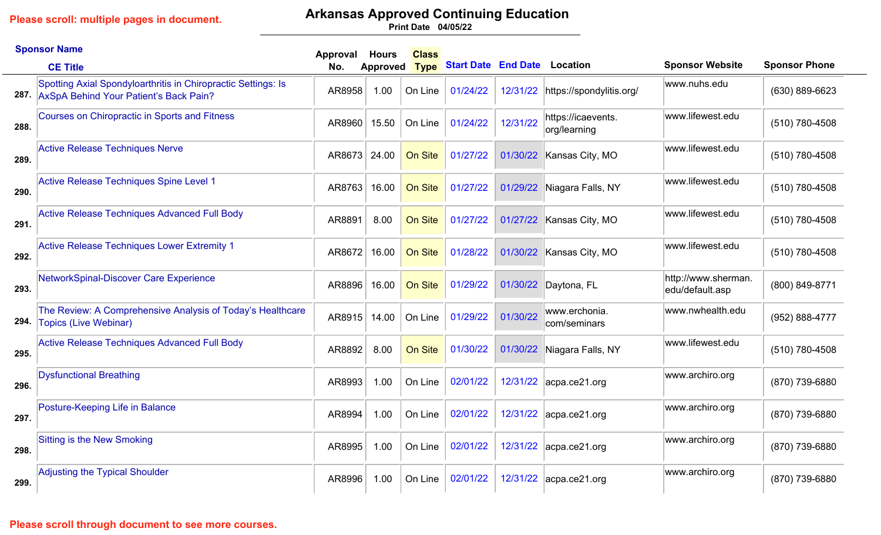# **Arkansas Approved Continuing Education**

**04/05/22 Print Date**

|      | <b>Sponsor Name</b>                                                                                          | Approval | <b>Hours</b>    | <b>Class</b>   |                                     |          |                                    |                                        |                      |
|------|--------------------------------------------------------------------------------------------------------------|----------|-----------------|----------------|-------------------------------------|----------|------------------------------------|----------------------------------------|----------------------|
|      | <b>CE Title</b>                                                                                              | No.      | <b>Approved</b> | <b>Type</b>    | <b>Start Date End Date Location</b> |          |                                    | <b>Sponsor Website</b>                 | <b>Sponsor Phone</b> |
|      | Spotting Axial Spondyloarthritis in Chiropractic Settings: Is<br>287. AxSpA Behind Your Patient's Back Pain? | AR8958   | 1.00            | On Line        | 01/24/22                            | 12/31/22 | https://spondylitis.org/           | www.nuhs.edu                           | $(630) 889 - 6623$   |
| 288. | <b>Courses on Chiropractic in Sports and Fitness</b>                                                         | AR8960   | 15.50           | On Line        | 01/24/22                            | 12/31/22 | https://icaevents.<br>org/learning | www.lifewest.edu                       | (510) 780-4508       |
| 289. | <b>Active Release Techniques Nerve</b>                                                                       | AR8673   | 24.00           | <b>On Site</b> | 01/27/22                            | 01/30/22 | Kansas City, MO                    | www.lifewest.edu                       | (510) 780-4508       |
| 290. | Active Release Techniques Spine Level 1                                                                      | AR8763   | 16.00           | On Site        | 01/27/22                            | 01/29/22 | Niagara Falls, NY                  | www.lifewest.edu                       | (510) 780-4508       |
| 291. | <b>Active Release Techniques Advanced Full Body</b>                                                          | AR8891   | 8.00            | On Site        | 01/27/22                            | 01/27/22 | Kansas City, MO                    | www.lifewest.edu                       | (510) 780-4508       |
| 292. | <b>Active Release Techniques Lower Extremity 1</b>                                                           | AR8672   | 16.00           | On Site        | 01/28/22                            | 01/30/22 | Kansas City, MO                    | www.lifewest.edu                       | (510) 780-4508       |
| 293. | NetworkSpinal-Discover Care Experience                                                                       | AR8896   | 16.00           | On Site        | 01/29/22                            | 01/30/22 | Daytona, FL                        | http://www.sherman.<br>edu/default.asp | (800) 849-8771       |
| 294. | The Review: A Comprehensive Analysis of Today's Healthcare<br><b>Topics (Live Webinar)</b>                   | AR8915   | 14.00           | On Line        | 01/29/22                            | 01/30/22 | www.erchonia.<br>com/seminars      | www.nwhealth.edu                       | (952) 888-4777       |
| 295. | <b>Active Release Techniques Advanced Full Body</b>                                                          | AR8892   | 8.00            | On Site        | 01/30/22                            | 01/30/22 | Niagara Falls, NY                  | www.lifewest.edu                       | (510) 780-4508       |
| 296. | <b>Dysfunctional Breathing</b>                                                                               | AR8993   | 1.00            | On Line        | 02/01/22                            |          | 12/31/22 acpa.ce21.org             | www.archiro.org                        | (870) 739-6880       |
| 297. | Posture-Keeping Life in Balance                                                                              | AR8994   | 1.00            | On Line        | 02/01/22                            | 12/31/22 | $ acpa-ce21.org$                   | www.archiro.org                        | (870) 739-6880       |
| 298. | <b>Sitting is the New Smoking</b>                                                                            | AR8995   | 1.00            | On Line        | 02/01/22                            |          | 12/31/22 acpa.ce21.org             | www.archiro.org                        | (870) 739-6880       |
| 299. | <b>Adjusting the Typical Shoulder</b>                                                                        | AR8996   | 1.00            | On Line        | 02/01/22                            |          | 12/31/22 acpa.ce21.org             | www.archiro.org                        | (870) 739-6880       |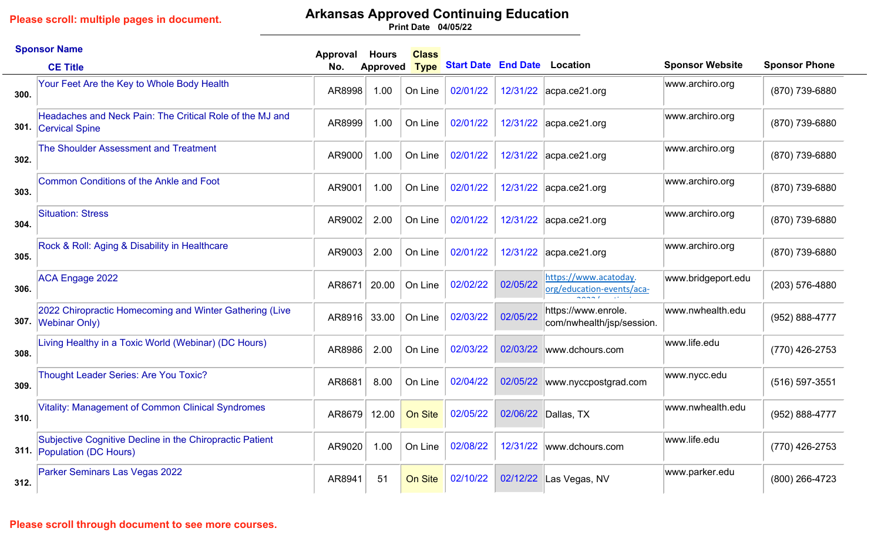### **Arkansas Approved Continuing Education**

**04/05/22 Print Date**

|      | <b>Sponsor Name</b>                                                                    | Approval | <b>Hours</b>    | <b>Class</b> |                                     |          |                                                                                   |                        |                      |
|------|----------------------------------------------------------------------------------------|----------|-----------------|--------------|-------------------------------------|----------|-----------------------------------------------------------------------------------|------------------------|----------------------|
|      | <b>CE Title</b>                                                                        | No.      | <b>Approved</b> | <b>Type</b>  | <b>Start Date End Date Location</b> |          |                                                                                   | <b>Sponsor Website</b> | <b>Sponsor Phone</b> |
| 300. | Your Feet Are the Key to Whole Body Health                                             | AR8998   | 1.00            | On Line      | 02/01/22                            |          | 12/31/22 acpa.ce21.org                                                            | www.archiro.org        | (870) 739-6880       |
|      | Headaches and Neck Pain: The Critical Role of the MJ and<br>301. Cervical Spine        | AR8999   | 1.00            | On Line      | 02/01/22                            |          | 12/31/22 acpa.ce21.org                                                            | www.archiro.org        | (870) 739-6880       |
| 302. | The Shoulder Assessment and Treatment                                                  | AR9000   | 1.00            | On Line      | 02/01/22                            | 12/31/22 | acpa.ce21.org                                                                     | www.archiro.org        | (870) 739-6880       |
| 303. | Common Conditions of the Ankle and Foot                                                | AR9001   | 1.00            | On Line      | 02/01/22                            |          | 12/31/22 acpa.ce21.org                                                            | www.archiro.org        | (870) 739-6880       |
| 304. | <b>Situation: Stress</b>                                                               | AR9002   | 2.00            | On Line      | 02/01/22                            |          | 12/31/22 acpa.ce21.org                                                            | www.archiro.org        | (870) 739-6880       |
| 305. | Rock & Roll: Aging & Disability in Healthcare                                          | AR9003   | 2.00            | On Line      | 02/01/22                            | 12/31/22 | acpa.ce21.org                                                                     | www.archiro.org        | (870) 739-6880       |
| 306. | <b>ACA Engage 2022</b>                                                                 | AR8671   | 20.00           | On Line      | 02/02/22                            | 02/05/22 | https://www.acatoday.<br>org/education-events/aca-<br>$\sim$ $\sim$ $\sim$ $\sim$ | www.bridgeport.edu     | (203) 576-4880       |
|      | 2022 Chiropractic Homecoming and Winter Gathering (Live<br>307. Webinar Only)          | AR8916   | 33.00           | On Line      | 02/03/22                            | 02/05/22 | https://www.enrole.<br>com/nwhealth/jsp/session.                                  | www.nwhealth.edu       | (952) 888-4777       |
| 308. | Living Healthy in a Toxic World (Webinar) (DC Hours)                                   | AR8986   | 2.00            | On Line      | 02/03/22                            | 02/03/22 | www.dchours.com                                                                   | www.life.edu           | (770) 426-2753       |
| 309. | Thought Leader Series: Are You Toxic?                                                  | AR8681   | 8.00            | On Line      | 02/04/22                            | 02/05/22 | www.nyccpostgrad.com                                                              | www.nycc.edu           | $(516) 597 - 3551$   |
| 310. | <b>Vitality: Management of Common Clinical Syndromes</b>                               | AR8679   | 12.00           | On Site      | 02/05/22                            | 02/06/22 | Dallas, TX                                                                        | www.nwhealth.edu       | (952) 888-4777       |
|      | Subjective Cognitive Decline in the Chiropractic Patient<br>311. Population (DC Hours) | AR9020   | 1.00            | On Line      | 02/08/22                            | 12/31/22 | www.dchours.com                                                                   | www.life.edu           | (770) 426-2753       |
| 312. | Parker Seminars Las Vegas 2022                                                         | AR8941   | 51              | On Site      | 02/10/22                            | 02/12/22 | Las Vegas, NV                                                                     | www.parker.edu         | (800) 266-4723       |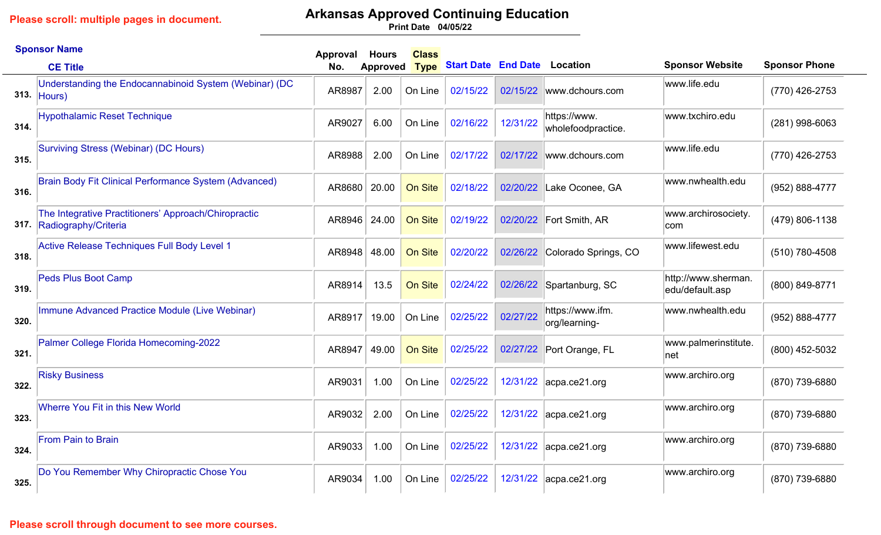# **Arkansas Approved Continuing Education**

**04/05/22 Print Date**

|      | <b>Sponsor Name</b>                                                               | Approval | <b>Hours</b>    | <b>Class</b> |                                     |          |                                    |                                        |                      |
|------|-----------------------------------------------------------------------------------|----------|-----------------|--------------|-------------------------------------|----------|------------------------------------|----------------------------------------|----------------------|
|      | <b>CE Title</b>                                                                   | No.      | <b>Approved</b> | <b>Type</b>  | <b>Start Date End Date Location</b> |          |                                    | <b>Sponsor Website</b>                 | <b>Sponsor Phone</b> |
|      | Understanding the Endocannabinoid System (Webinar) (DC<br>313. $ Hours\rangle$    | AR8987   | 2.00            | On Line      | 02/15/22                            | 02/15/22 | www.dchours.com                    | www.life.edu                           | (770) 426-2753       |
| 314. | <b>Hypothalamic Reset Technique</b>                                               | AR9027   | 6.00            | On Line      | 02/16/22                            | 12/31/22 | https://www.<br>wholefoodpractice. | www.txchiro.edu                        | $(281)$ 998-6063     |
| 315. | Surviving Stress (Webinar) (DC Hours)                                             | AR8988   | 2.00            | On Line      | 02/17/22                            | 02/17/22 | www.dchours.com                    | www.life.edu                           | (770) 426-2753       |
| 316. | Brain Body Fit Clinical Performance System (Advanced)                             | AR8680   | 20.00           | On Site      | 02/18/22                            | 02/20/22 | Lake Oconee, GA                    | www.nwhealth.edu                       | (952) 888-4777       |
|      | The Integrative Practitioners' Approach/Chiropractic<br>317. Radiography/Criteria | AR8946   | 24.00           | On Site      | 02/19/22                            | 02/20/22 | Fort Smith, AR                     | www.archirosociety.<br>com             | (479) 806-1138       |
| 318. | Active Release Techniques Full Body Level 1                                       | AR8948   | 48.00           | On Site      | 02/20/22                            | 02/26/22 | Colorado Springs, CO               | www.lifewest.edu                       | (510) 780-4508       |
| 319. | <b>Peds Plus Boot Camp</b>                                                        | AR8914   | 13.5            | On Site      | 02/24/22                            | 02/26/22 | Spartanburg, SC                    | http://www.sherman.<br>edu/default.asp | (800) 849-8771       |
| 320. | Immune Advanced Practice Module (Live Webinar)                                    | AR8917   | 19.00           | On Line      | 02/25/22                            | 02/27/22 | https://www.ifm.<br>org/learning-  | www.nwhealth.edu                       | (952) 888-4777       |
| 321. | Palmer College Florida Homecoming-2022                                            | AR8947   | 49.00           | On Site      | 02/25/22                            | 02/27/22 | Port Orange, FL                    | www.palmerinstitute.<br>net            | (800) 452-5032       |
| 322. | <b>Risky Business</b>                                                             | AR9031   | 1.00            | On Line      | 02/25/22                            |          | 12/31/22 acpa.ce21.org             | www.archiro.org                        | (870) 739-6880       |
| 323. | <b>Wherre You Fit in this New World</b>                                           | AR9032   | 2.00            | On Line      | 02/25/22                            | 12/31/22 | $ acpa-ce21.org$                   | www.archiro.org                        | (870) 739-6880       |
| 324. | <b>From Pain to Brain</b>                                                         | AR9033   | 1.00            | On Line      | 02/25/22                            |          | 12/31/22 acpa.ce21.org             | www.archiro.org                        | (870) 739-6880       |
| 325. | Do You Remember Why Chiropractic Chose You                                        | AR9034   | 1.00            | On Line      | 02/25/22                            |          | 12/31/22 acpa.ce21.org             | www.archiro.org                        | (870) 739-6880       |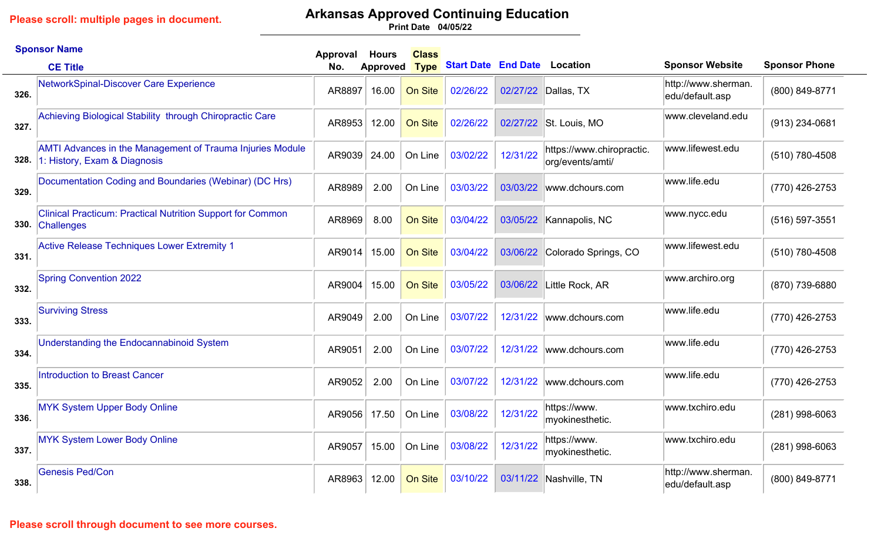## **Arkansas Approved Continuing Education**

**04/05/22 Print Date**

|      | <b>Sponsor Name</b>                                                                              | Approval | <b>Hours</b>    | <b>Class</b> |                                     |          |                                               |                                        |                      |
|------|--------------------------------------------------------------------------------------------------|----------|-----------------|--------------|-------------------------------------|----------|-----------------------------------------------|----------------------------------------|----------------------|
|      | <b>CE Title</b>                                                                                  | No.      | <b>Approved</b> | <b>Type</b>  | <b>Start Date End Date Location</b> |          |                                               | <b>Sponsor Website</b>                 | <b>Sponsor Phone</b> |
| 326. | NetworkSpinal-Discover Care Experience                                                           | AR8897   | 16.00           | On Site      | 02/26/22                            |          | 02/27/22 Dallas, TX                           | http://www.sherman.<br>edu/default.asp | (800) 849-8771       |
| 327. | Achieving Biological Stability through Chiropractic Care                                         | AR8953   | 12.00           | On Site      | 02/26/22                            | 02/27/22 | St. Louis, MO                                 | www.cleveland.edu                      | (913) 234-0681       |
| 328. | <b>AMTI Advances in the Management of Trauma Injuries Module</b><br>1: History, Exam & Diagnosis | AR9039   | 24.00           | On Line      | 03/02/22                            | 12/31/22 | https://www.chiropractic.<br>org/events/amti/ | www.lifewest.edu                       | (510) 780-4508       |
| 329. | Documentation Coding and Boundaries (Webinar) (DC Hrs)                                           | AR8989   | 2.00            | On Line      | 03/03/22                            | 03/03/22 | www.dchours.com                               | www.life.edu                           | (770) 426-2753       |
| 330. | <b>Clinical Practicum: Practical Nutrition Support for Common</b><br>Challenges                  | AR8969   | 8.00            | On Site      | 03/04/22                            | 03/05/22 | Kannapolis, NC                                | www.nycc.edu                           | $(516)$ 597-3551     |
| 331. | <b>Active Release Techniques Lower Extremity 1</b>                                               | AR9014   | 15.00           | On Site      | 03/04/22                            | 03/06/22 | Colorado Springs, CO                          | www.lifewest.edu                       | (510) 780-4508       |
| 332. | <b>Spring Convention 2022</b>                                                                    | AR9004   | 15.00           | On Site      | 03/05/22                            | 03/06/22 | Little Rock, AR                               | www.archiro.org                        | (870) 739-6880       |
| 333. | <b>Surviving Stress</b>                                                                          | AR9049   | 2.00            | On Line      | 03/07/22                            | 12/31/22 | www.dchours.com                               | www.life.edu                           | (770) 426-2753       |
| 334. | Understanding the Endocannabinoid System                                                         | AR9051   | 2.00            | On Line      | 03/07/22                            | 12/31/22 | www.dchours.com                               | www.life.edu                           | (770) 426-2753       |
| 335. | <b>Introduction to Breast Cancer</b>                                                             | AR9052   | 2.00            | On Line      | 03/07/22                            | 12/31/22 | www.dchours.com                               | www.life.edu                           | (770) 426-2753       |
| 336. | <b>MYK System Upper Body Online</b>                                                              | AR9056   | 17.50           | On Line      | 03/08/22                            | 12/31/22 | https://www.<br>myokinesthetic.               | www.txchiro.edu                        | $(281)$ 998-6063     |
| 337. | <b>MYK System Lower Body Online</b>                                                              | AR9057   | 15.00           | On Line      | 03/08/22                            | 12/31/22 | https://www.<br>myokinesthetic.               | www.txchiro.edu                        | (281) 998-6063       |
| 338. | <b>Genesis Ped/Con</b>                                                                           | AR8963   | 12.00           | On Site      | 03/10/22                            |          | 03/11/22 Nashville, TN                        | http://www.sherman.<br>edu/default.asp | (800) 849-8771       |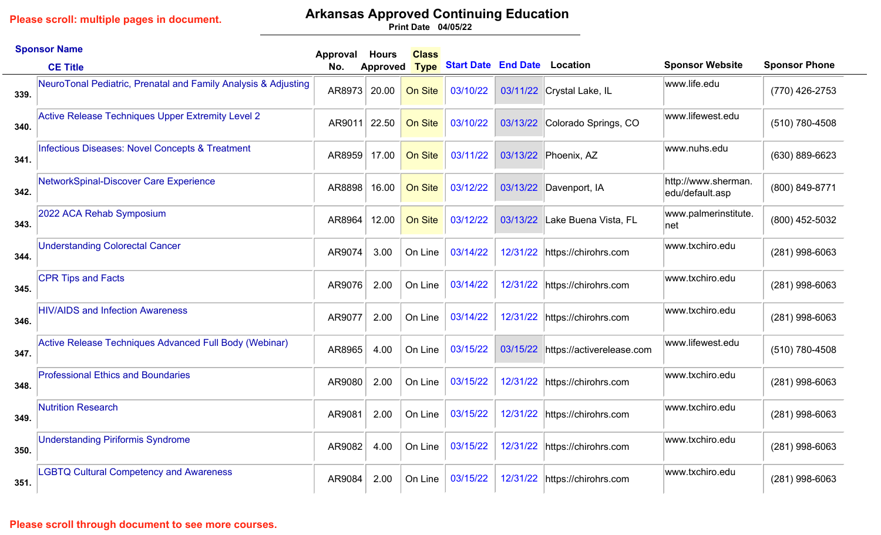### **Arkansas Approved Continuing Education**

**04/05/22 Print Date**

|      | <b>Sponsor Name</b>                                            | Approval | <b>Hours</b>    | <b>Class</b> |                                     |          |                               |                                        |                      |
|------|----------------------------------------------------------------|----------|-----------------|--------------|-------------------------------------|----------|-------------------------------|----------------------------------------|----------------------|
|      | <b>CE Title</b>                                                | No.      | <b>Approved</b> | <b>Type</b>  | <b>Start Date End Date Location</b> |          |                               | <b>Sponsor Website</b>                 | <b>Sponsor Phone</b> |
| 339. | NeuroTonal Pediatric, Prenatal and Family Analysis & Adjusting | AR8973   | 20.00           | On Site      | 03/10/22                            |          | 03/11/22 Crystal Lake, IL     | www.life.edu                           | (770) 426-2753       |
| 340. | Active Release Techniques Upper Extremity Level 2              | AR9011   | 22.50           | On Site      | 03/10/22                            | 03/13/22 | Colorado Springs, CO          | www.lifewest.edu                       | (510) 780-4508       |
| 341. | Infectious Diseases: Novel Concepts & Treatment                | AR8959   | 17.00           | On Site      | 03/11/22                            | 03/13/22 | Phoenix, AZ                   | www.nuhs.edu                           | (630) 889-6623       |
| 342. | NetworkSpinal-Discover Care Experience                         | AR8898   | 16.00           | On Site      | 03/12/22                            | 03/13/22 | Davenport, IA                 | http://www.sherman.<br>edu/default.asp | (800) 849-8771       |
| 343. | 2022 ACA Rehab Symposium                                       | AR8964   | 12.00           | On Site      | 03/12/22                            | 03/13/22 | Lake Buena Vista, FL          | www.palmerinstitute.<br> net           | (800) 452-5032       |
| 344. | <b>Understanding Colorectal Cancer</b>                         | AR9074   | 3.00            | On Line      | 03/14/22                            | 12/31/22 | https://chirohrs.com          | www.txchiro.edu                        | (281) 998-6063       |
| 345. | <b>CPR Tips and Facts</b>                                      | AR9076   | 2.00            | On Line      | 03/14/22                            | 12/31/22 | https://chirohrs.com          | www.txchiro.edu                        | (281) 998-6063       |
| 346. | <b>HIV/AIDS and Infection Awareness</b>                        | AR9077   | 2.00            | On Line      | 03/14/22                            |          | 12/31/22 https://chirohrs.com | www.txchiro.edu                        | (281) 998-6063       |
| 347. | Active Release Techniques Advanced Full Body (Webinar)         | AR8965   | 4.00            | On Line      | 03/15/22                            | 03/15/22 | https://activerelease.com     | www.lifewest.edu                       | (510) 780-4508       |
| 348. | <b>Professional Ethics and Boundaries</b>                      | AR9080   | 2.00            | On Line      | 03/15/22                            | 12/31/22 | https://chirohrs.com          | www.txchiro.edu                        | $(281)$ 998-6063     |
| 349. | <b>Nutrition Research</b>                                      | AR9081   | 2.00            | On Line      | 03/15/22                            | 12/31/22 | https://chirohrs.com          | www.txchiro.edu                        | (281) 998-6063       |
| 350. | <b>Understanding Piriformis Syndrome</b>                       | AR9082   | 4.00            | On Line      | 03/15/22                            | 12/31/22 | https://chirohrs.com          | www.txchiro.edu                        | $(281)$ 998-6063     |
| 351. | <b>LGBTQ Cultural Competency and Awareness</b>                 | AR9084   | 2.00            | On Line      | 03/15/22                            | 12/31/22 | https://chirohrs.com          | www.txchiro.edu                        | (281) 998-6063       |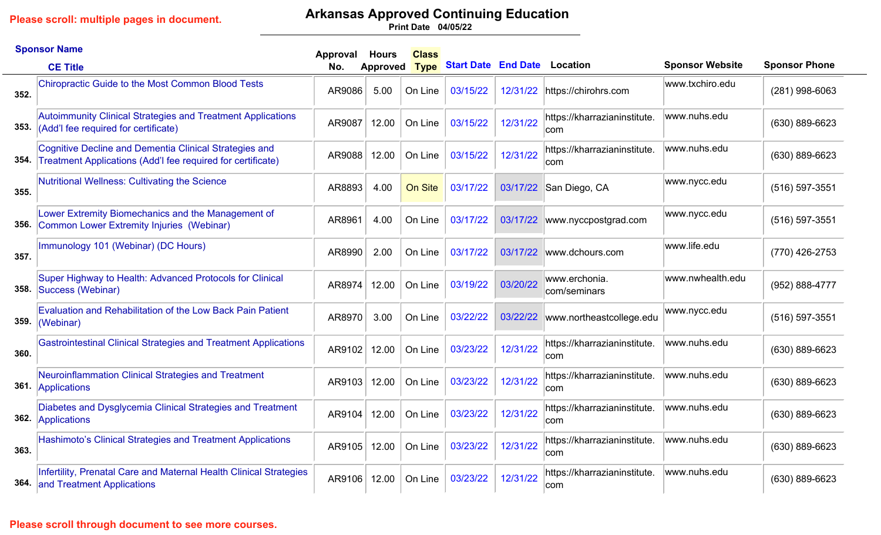# **Arkansas Approved Continuing Education**

**04/05/22 Print Date**

|      | <b>Sponsor Name</b>                                                                                                   | Approval | <b>Hours</b> | <b>Class</b> |                            |          |                                     |                        |                      |
|------|-----------------------------------------------------------------------------------------------------------------------|----------|--------------|--------------|----------------------------|----------|-------------------------------------|------------------------|----------------------|
|      | <b>CE Title</b>                                                                                                       | No.      | Approved     | <b>Type</b>  | <b>Start Date End Date</b> |          | Location                            | <b>Sponsor Website</b> | <b>Sponsor Phone</b> |
| 352. | <b>Chiropractic Guide to the Most Common Blood Tests</b>                                                              | AR9086   | 5.00         | On Line      | 03/15/22                   | 12/31/22 | https://chirohrs.com                | www.txchiro.edu        | $(281)$ 998-6063     |
| 353. | Autoimmunity Clinical Strategies and Treatment Applications<br>(Add'I fee required for certificate)                   | AR9087   | 12.00        | On Line      | 03/15/22                   | 12/31/22 | https://kharrazianinstitute.<br>com | www.nuhs.edu           | (630) 889-6623       |
| 354. | Cognitive Decline and Dementia Clinical Strategies and<br>Treatment Applications (Add'I fee required for certificate) | AR9088   | 12.00        | On Line      | 03/15/22                   | 12/31/22 | https://kharrazianinstitute.<br>com | www.nuhs.edu           | (630) 889-6623       |
| 355. | Nutritional Wellness: Cultivating the Science                                                                         | AR8893   | 4.00         | On Site      | 03/17/22                   | 03/17/22 | San Diego, CA                       | www.nycc.edu           | $(516) 597 - 3551$   |
| 356. | Lower Extremity Biomechanics and the Management of<br>Common Lower Extremity Injuries (Webinar)                       | AR8961   | 4.00         | On Line      | 03/17/22                   | 03/17/22 | www.nyccpostgrad.com                | www.nycc.edu           | $(516) 597 - 3551$   |
| 357. | Immunology 101 (Webinar) (DC Hours)                                                                                   | AR8990   | 2.00         | On Line      | 03/17/22                   | 03/17/22 | www.dchours.com                     | www.life.edu           | (770) 426-2753       |
| 358. | Super Highway to Health: Advanced Protocols for Clinical<br>Success (Webinar)                                         | AR8974   | 12.00        | On Line      | 03/19/22                   | 03/20/22 | www.erchonia.<br>com/seminars       | www.nwhealth.edu       | (952) 888-4777       |
| 359. | <b>Evaluation and Rehabilitation of the Low Back Pain Patient</b><br>(Webinar)                                        | AR8970   | 3.00         | On Line      | 03/22/22                   | 03/22/22 | www.northeastcollege.edu            | www.nycc.edu           | $(516) 597 - 3551$   |
| 360. | <b>Gastrointestinal Clinical Strategies and Treatment Applications</b>                                                | AR9102   | 12.00        | On Line      | 03/23/22                   | 12/31/22 | https://kharrazianinstitute.<br>com | www.nuhs.edu           | $(630) 889 - 6623$   |
|      | Neuroinflammation Clinical Strategies and Treatment<br>361. Applications                                              | AR9103   | 12.00        | On Line      | 03/23/22                   | 12/31/22 | https://kharrazianinstitute.<br>com | www.nuhs.edu           | (630) 889-6623       |
|      | Diabetes and Dysglycemia Clinical Strategies and Treatment<br>362. Applications                                       | AR9104   | 12.00        | On Line      | 03/23/22                   | 12/31/22 | https://kharrazianinstitute.<br>com | www.nuhs.edu           | $(630) 889 - 6623$   |
| 363. | Hashimoto's Clinical Strategies and Treatment Applications                                                            | AR9105   | 12.00        | On Line      | 03/23/22                   | 12/31/22 | https://kharrazianinstitute.<br>com | www.nuhs.edu           | $(630) 889 - 6623$   |
|      | Infertility, Prenatal Care and Maternal Health Clinical Strategies<br><b>364.</b> and Treatment Applications          | AR9106   | 12.00        | On Line      | 03/23/22                   | 12/31/22 | https://kharrazianinstitute.<br>com | www.nuhs.edu           | (630) 889-6623       |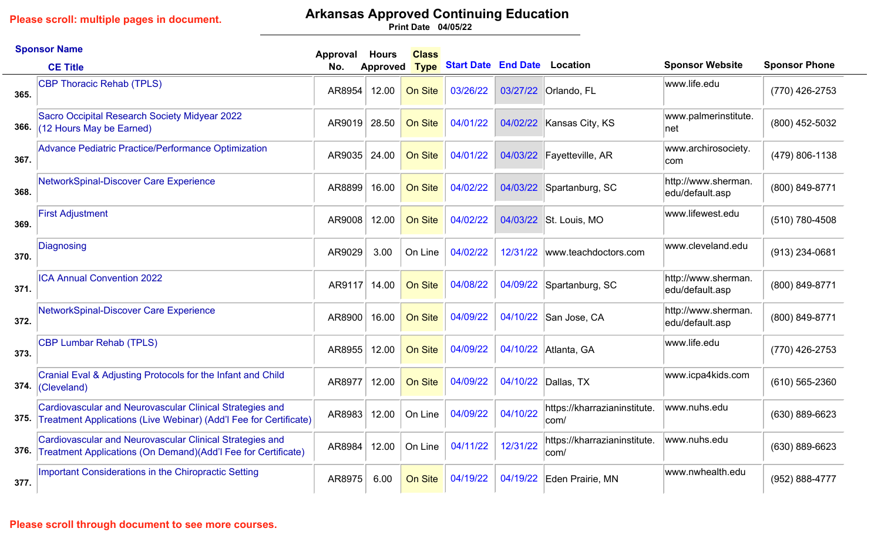# **Arkansas Approved Continuing Education**

**04/05/22 Print Date**

|      | <b>Sponsor Name</b>                                                                                                           | Approval | <b>Hours</b> | <b>Class</b> |                            |          |                                      |                                        |                      |
|------|-------------------------------------------------------------------------------------------------------------------------------|----------|--------------|--------------|----------------------------|----------|--------------------------------------|----------------------------------------|----------------------|
|      | <b>CE Title</b>                                                                                                               | No.      | Approved     | <b>Type</b>  | <b>Start Date End Date</b> |          | <b>Location</b>                      | <b>Sponsor Website</b>                 | <b>Sponsor Phone</b> |
| 365. | <b>CBP Thoracic Rehab (TPLS)</b>                                                                                              | AR8954   | 12.00        | On Site      | 03/26/22                   | 03/27/22 | <b>Orlando, FL</b>                   | www.life.edu                           | (770) 426-2753       |
| 366. | Sacro Occipital Research Society Midyear 2022<br>$(12$ Hours May be Earned)                                                   | AR9019   | 28.50        | On Site      | 04/01/22                   | 04/02/22 | Kansas City, KS                      | www.palmerinstitute.<br> net           | (800) 452-5032       |
| 367. | Advance Pediatric Practice/Performance Optimization                                                                           | AR9035   | 24.00        | On Site      | 04/01/22                   | 04/03/22 | Fayetteville, AR                     | www.archirosociety.<br>com             | (479) 806-1138       |
| 368. | NetworkSpinal-Discover Care Experience                                                                                        | AR8899   | 16.00        | On Site      | 04/02/22                   | 04/03/22 | Spartanburg, SC                      | http://www.sherman.<br>edu/default.asp | (800) 849-8771       |
| 369. | <b>First Adjustment</b>                                                                                                       | AR9008   | 12.00        | On Site      | 04/02/22                   | 04/03/22 | St. Louis, MO                        | www.lifewest.edu                       | (510) 780-4508       |
| 370. | Diagnosing                                                                                                                    | AR9029   | 3.00         | On Line      | 04/02/22                   | 12/31/22 | www.teachdoctors.com                 | www.cleveland.edu                      | (913) 234-0681       |
| 371. | <b>ICA Annual Convention 2022</b>                                                                                             | AR9117   | 14.00        | On Site      | 04/08/22                   | 04/09/22 | Spartanburg, SC                      | http://www.sherman.<br>edu/default.asp | (800) 849-8771       |
| 372. | NetworkSpinal-Discover Care Experience                                                                                        | AR8900   | 16.00        | On Site      | 04/09/22                   | 04/10/22 | San Jose, CA                         | http://www.sherman.<br>edu/default.asp | (800) 849-8771       |
| 373. | <b>CBP Lumbar Rehab (TPLS)</b>                                                                                                | AR8955   | 12.00        | On Site      | 04/09/22                   | 04/10/22 | Atlanta, GA                          | www.life.edu                           | (770) 426-2753       |
| 374. | Cranial Eval & Adjusting Protocols for the Infant and Child<br>(Cleveland)                                                    | AR8977   | 12.00        | On Site      | 04/09/22                   | 04/10/22 | Dallas, TX                           | www.icpa4kids.com                      | $(610)$ 565-2360     |
| 375. | Cardiovascular and Neurovascular Clinical Strategies and<br>Treatment Applications (Live Webinar) (Add'l Fee for Certificate) | AR8983   | 12.00        | On Line      | 04/09/22                   | 04/10/22 | https://kharrazianinstitute.<br>com/ | www.nuhs.edu                           | $(630) 889 - 6623$   |
| 376. | Cardiovascular and Neurovascular Clinical Strategies and<br>Treatment Applications (On Demand) (Add'l Fee for Certificate)    | AR8984   | 12.00        | On Line      | 04/11/22                   | 12/31/22 | https://kharrazianinstitute.<br>com/ | www.nuhs.edu                           | (630) 889-6623       |
| 377. | <b>Important Considerations in the Chiropractic Setting</b>                                                                   | AR8975   | 6.00         | On Site      | 04/19/22                   | 04/19/22 | Eden Prairie, MN                     | www.nwhealth.edu                       | (952) 888-4777       |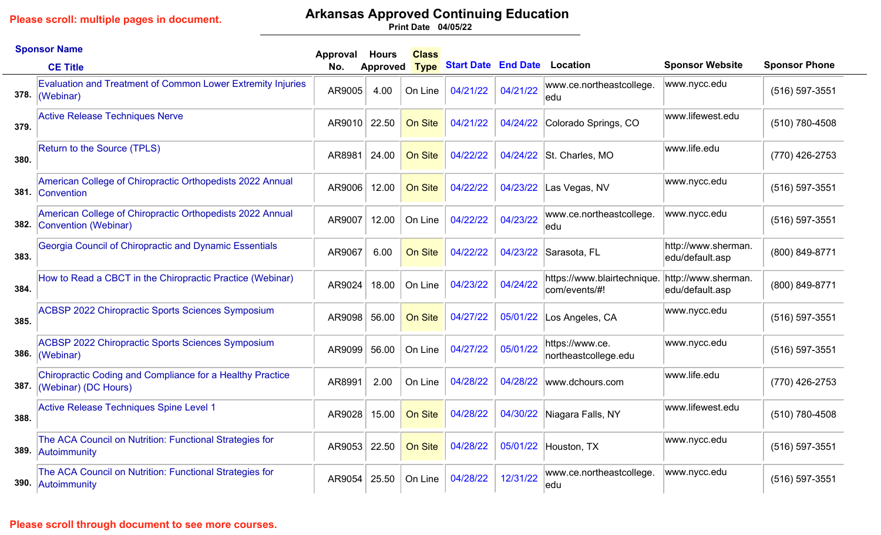## **Arkansas Approved Continuing Education**

**04/05/22 Print Date**

|      | <b>Sponsor Name</b>                                                               | Approval | <b>Hours</b>    | <b>Class</b>   |                                     |          |                                              |                                        |                      |
|------|-----------------------------------------------------------------------------------|----------|-----------------|----------------|-------------------------------------|----------|----------------------------------------------|----------------------------------------|----------------------|
|      | <b>CE Title</b>                                                                   | No.      | <b>Approved</b> | <b>Type</b>    | <b>Start Date End Date Location</b> |          |                                              | <b>Sponsor Website</b>                 | <b>Sponsor Phone</b> |
| 378. | <b>Evaluation and Treatment of Common Lower Extremity Injuries</b><br>(Webinar)   | AR9005   | 4.00            | On Line        | 04/21/22                            | 04/21/22 | www.ce.northeastcollege.<br>ledu             | www.nycc.edu                           | (516) 597-3551       |
| 379. | <b>Active Release Techniques Nerve</b>                                            | AR9010   | 22.50           | On Site        | 04/21/22                            | 04/24/22 | Colorado Springs, CO                         | www.lifewest.edu                       | (510) 780-4508       |
| 380. | Return to the Source (TPLS)                                                       | AR8981   | 24.00           | On Site        | 04/22/22                            | 04/24/22 | St. Charles, MO                              | www.life.edu                           | (770) 426-2753       |
|      | American College of Chiropractic Orthopedists 2022 Annual<br>381. Convention      | AR9006   | 12.00           | On Site        | 04/22/22                            | 04/23/22 | Las Vegas, NV                                | www.nycc.edu                           | (516) 597-3551       |
| 382. | American College of Chiropractic Orthopedists 2022 Annual<br>Convention (Webinar) | AR9007   | 12.00           | On Line        | 04/22/22                            | 04/23/22 | www.ce.northeastcollege.<br>ledu             | www.nycc.edu                           | $(516) 597 - 3551$   |
| 383. | Georgia Council of Chiropractic and Dynamic Essentials                            | AR9067   | 6.00            | On Site        | 04/22/22                            | 04/23/22 | Sarasota, FL                                 | http://www.sherman.<br>edu/default.asp | (800) 849-8771       |
| 384. | How to Read a CBCT in the Chiropractic Practice (Webinar)                         | AR9024   | 18.00           | On Line        | 04/23/22                            | 04/24/22 | https://www.blairtechnique.<br>com/events/#! | http://www.sherman.<br>edu/default.asp | (800) 849-8771       |
| 385. | <b>ACBSP 2022 Chiropractic Sports Sciences Symposium</b>                          | AR9098   | 56.00           | <b>On Site</b> | 04/27/22                            | 05/01/22 | Los Angeles, CA                              | www.nycc.edu                           | (516) 597-3551       |
| 386. | <b>ACBSP 2022 Chiropractic Sports Sciences Symposium</b><br>(Webinar)             | AR9099   | 56.00           | On Line        | 04/27/22                            | 05/01/22 | https://www.ce.<br>northeastcollege.edu      | www.nycc.edu                           | (516) 597-3551       |
| 387. | Chiropractic Coding and Compliance for a Healthy Practice<br>(Webinar) (DC Hours) | AR8991   | 2.00            | On Line        | 04/28/22                            | 04/28/22 | www.dchours.com                              | www.life.edu                           | (770) 426-2753       |
| 388. | Active Release Techniques Spine Level 1                                           | AR9028   | 15.00           | On Site        | 04/28/22                            | 04/30/22 | Niagara Falls, NY                            | www.lifewest.edu                       | (510) 780-4508       |
| 389. | The ACA Council on Nutrition: Functional Strategies for<br>Autoimmunity           | AR9053   | 22.50           | On Site        | 04/28/22                            | 05/01/22 | Houston, TX                                  | www.nycc.edu                           | (516) 597-3551       |
|      | The ACA Council on Nutrition: Functional Strategies for<br>390. Autoimmunity      | AR9054   | 25.50           | On Line        | 04/28/22                            | 12/31/22 | www.ce.northeastcollege.<br>ledu             | www.nycc.edu                           | (516) 597-3551       |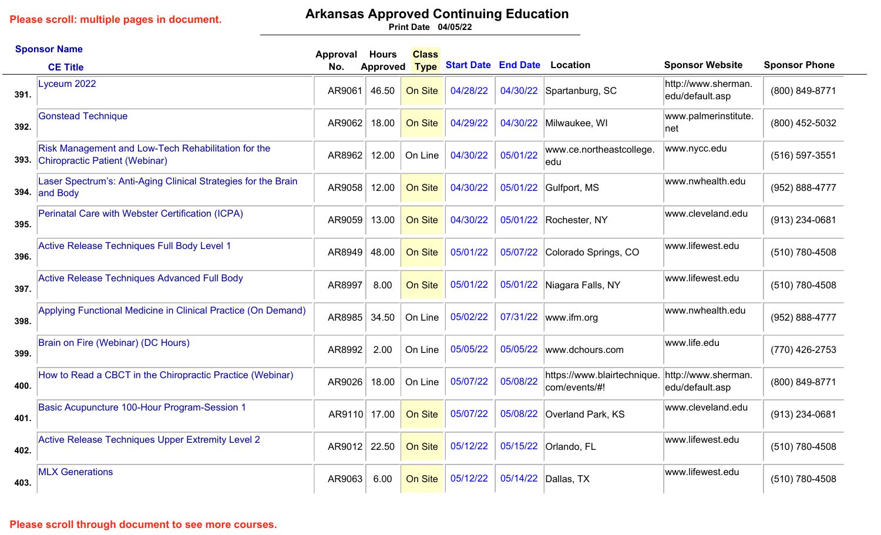# **Arkansas Approved Continuing Education**

**04/05/22 Print Date**

|      | <b>Sponsor Name</b>                                                                   | Approval | <b>Hours</b>    | <b>Class</b> |                            |          |                                              |                                        |                      |
|------|---------------------------------------------------------------------------------------|----------|-----------------|--------------|----------------------------|----------|----------------------------------------------|----------------------------------------|----------------------|
|      | <b>CE Title</b>                                                                       | No.      | <b>Approved</b> | <b>Type</b>  | <b>Start Date End Date</b> |          | Location                                     | <b>Sponsor Website</b>                 | <b>Sponsor Phone</b> |
| 391. | Lyceum 2022                                                                           | AR9061   | 46.50           | On Site      | 04/28/22                   | 04/30/22 | Spartanburg, SC                              | http://www.sherman.<br>edu/default.asp | (800) 849-8771       |
| 392. | <b>Gonstead Technique</b>                                                             | AR9062   | 18.00           | On Site      | 04/29/22                   | 04/30/22 | Milwaukee, WI                                | www.palmerinstitute.<br>net            | (800) 452-5032       |
| 393. | Risk Management and Low-Tech Rehabilitation for the<br>Chiropractic Patient (Webinar) | AR8962   | 12.00           | On Line      | 04/30/22                   | 05/01/22 | www.ce.northeastcollege.<br>edu              | www.nycc.edu                           | $(516) 597 - 3551$   |
| 394. | Laser Spectrum's: Anti-Aging Clinical Strategies for the Brain<br>and Body            | AR9058   | 12.00           | On Site      | 04/30/22                   | 05/01/22 | Gulfport, MS                                 | www.nwhealth.edu                       | (952) 888-4777       |
| 395. | Perinatal Care with Webster Certification (ICPA)                                      | AR9059   | 13.00           | On Site      | 04/30/22                   | 05/01/22 | Rochester, NY                                | www.cleveland.edu                      | (913) 234-0681       |
| 396. | Active Release Techniques Full Body Level 1                                           | AR8949   | 48.00           | On Site      | 05/01/22                   | 05/07/22 | Colorado Springs, CO                         | www.lifewest.edu                       | (510) 780-4508       |
| 397. | <b>Active Release Techniques Advanced Full Body</b>                                   | AR8997   | 8.00            | On Site      | 05/01/22                   | 05/01/22 | Niagara Falls, NY                            | www.lifewest.edu                       | (510) 780-4508       |
| 398. | Applying Functional Medicine in Clinical Practice (On Demand)                         | AR8985   | 34.50           | On Line      | 05/02/22                   | 07/31/22 | www.ifm.org                                  | www.nwhealth.edu                       | (952) 888-4777       |
| 399. | Brain on Fire (Webinar) (DC Hours)                                                    | AR8992   | 2.00            | On Line      | 05/05/22                   | 05/05/22 | www.dchours.com                              | www.life.edu                           | (770) 426-2753       |
| 400. | How to Read a CBCT in the Chiropractic Practice (Webinar)                             | AR9026   | 18.00           | On Line      | 05/07/22                   | 05/08/22 | https://www.blairtechnique.<br>com/events/#! | http://www.sherman.<br>edu/default.asp | (800) 849-8771       |
| 401. | Basic Acupuncture 100-Hour Program-Session 1                                          | AR9110   | 17.00           | On Site      | 05/07/22                   | 05/08/22 | Overland Park, KS                            | www.cleveland.edu                      | $(913)$ 234-0681     |
| 402. | Active Release Techniques Upper Extremity Level 2                                     | AR9012   | 22.50           | On Site      | 05/12/22                   | 05/15/22 | Orlando, FL                                  | www.lifewest.edu                       | (510) 780-4508       |
| 403. | <b>MLX Generations</b>                                                                | AR9063   | 6.00            | On Site      | 05/12/22                   | 05/14/22 | Dallas, TX                                   | www.lifewest.edu                       | (510) 780-4508       |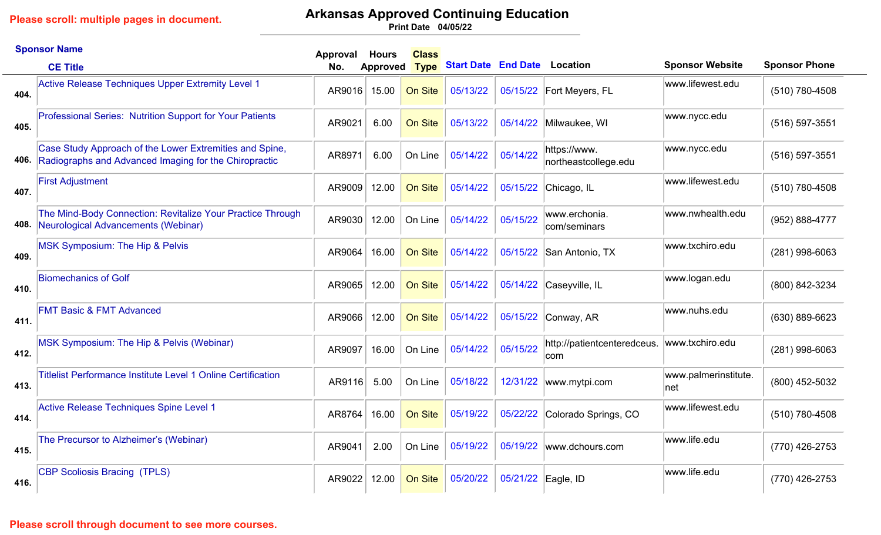# **Arkansas Approved Continuing Education**

**04/05/22 Print Date**

|      | <b>Sponsor Name</b>                                                                                              | Approval | <b>Hours</b>    | <b>Class</b>   |                                     |                    |                                           |                             |                      |
|------|------------------------------------------------------------------------------------------------------------------|----------|-----------------|----------------|-------------------------------------|--------------------|-------------------------------------------|-----------------------------|----------------------|
|      | <b>CE Title</b>                                                                                                  | No.      | <b>Approved</b> | <b>Type</b>    | <b>Start Date End Date Location</b> |                    |                                           | <b>Sponsor Website</b>      | <b>Sponsor Phone</b> |
| 404. | <b>Active Release Techniques Upper Extremity Level 1</b>                                                         | AR9016   | 15.00           | On Site        | 05/13/22                            |                    | 05/15/22 Fort Meyers, FL                  | www.lifewest.edu            | (510) 780-4508       |
| 405. | Professional Series: Nutrition Support for Your Patients                                                         | AR9021   | 6.00            | <b>On Site</b> | 05/13/22                            |                    | 05/14/22 Milwaukee, WI                    | www.nycc.edu                | (516) 597-3551       |
| 406. | Case Study Approach of the Lower Extremities and Spine,<br>Radiographs and Advanced Imaging for the Chiropractic | AR8971   | 6.00            | On Line        | 05/14/22                            | 05/14/22           | https://www.<br>northeastcollege.edu      | www.nycc.edu                | (516) 597-3551       |
| 407. | <b>First Adjustment</b>                                                                                          | AR9009   | 12.00           | On Site        | 05/14/22                            |                    | 05/15/22 Chicago, IL                      | www.lifewest.edu            | (510) 780-4508       |
| 408. | The Mind-Body Connection: Revitalize Your Practice Through<br>Neurological Advancements (Webinar)                | AR9030   | 12.00           | On Line        | 05/14/22                            | 05/15/22           | www.erchonia.<br>com/seminars             | www.nwhealth.edu            | (952) 888-4777       |
| 409. | <b>MSK Symposium: The Hip &amp; Pelvis</b>                                                                       | AR9064   | 16.00           | <b>On Site</b> | 05/14/22                            | 05/15/22           | San Antonio, TX                           | www.txchiro.edu             | (281) 998-6063       |
| 410. | <b>Biomechanics of Golf</b>                                                                                      | AR9065   | 12.00           | On Site        | 05/14/22                            |                    | 05/14/22 Caseyville, IL                   | www.logan.edu               | (800) 842-3234       |
| 411. | <b>FMT Basic &amp; FMT Advanced</b>                                                                              | AR9066   | 12.00           | <b>On Site</b> | 05/14/22                            |                    | 05/15/22 Conway, AR                       | www.nuhs.edu                | (630) 889-6623       |
| 412. | MSK Symposium: The Hip & Pelvis (Webinar)                                                                        | AR9097   | 16.00           | On Line        | 05/14/22                            | 05/15/22           | http://patientcenteredceus.<br><b>com</b> | www.txchiro.edu             | $(281)$ 998-6063     |
| 413. | <b>Titlelist Performance Institute Level 1 Online Certification</b>                                              | AR9116   | 5.00            | On Line        | 05/18/22                            | 12/31/22           | www.mytpi.com                             | www.palmerinstitute.<br>net | (800) 452-5032       |
| 414. | Active Release Techniques Spine Level 1                                                                          | AR8764   | 16.00           | On Site        | 05/19/22                            | 05/22/22           | Colorado Springs, CO                      | www.lifewest.edu            | (510) 780-4508       |
| 415. | The Precursor to Alzheimer's (Webinar)                                                                           | AR9041   | 2.00            | On Line        | 05/19/22                            | 05/19/22           | www.dchours.com                           | www.life.edu                | (770) 426-2753       |
| 416. | <b>CBP Scoliosis Bracing (TPLS)</b>                                                                              | AR9022   | 12.00           | On Site        | 05/20/22                            | 05/21/22 Eagle, ID |                                           | www.life.edu                | (770) 426-2753       |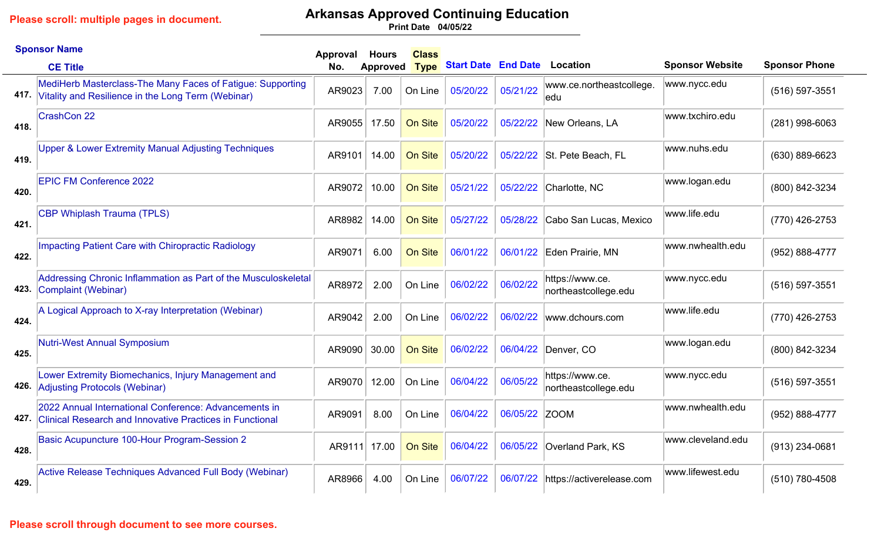# **Arkansas Approved Continuing Education**

**04/05/22 Print Date**

|      | <b>Sponsor Name</b>                                                                                                      | Approval     | <b>Hours</b>    | <b>Class</b> |                            |               |                                         |                        |                      |
|------|--------------------------------------------------------------------------------------------------------------------------|--------------|-----------------|--------------|----------------------------|---------------|-----------------------------------------|------------------------|----------------------|
|      | <b>CE Title</b>                                                                                                          | No.          | <b>Approved</b> | <b>Type</b>  | <b>Start Date End Date</b> |               | <b>Location</b>                         | <b>Sponsor Website</b> | <b>Sponsor Phone</b> |
|      | MediHerb Masterclass-The Many Faces of Fatigue: Supporting<br>417. Vitality and Resilience in the Long Term (Webinar)    | AR9023       | 7.00            | On Line      | 05/20/22                   | 05/21/22      | www.ce.northeastcollege.<br>ledu        | www.nycc.edu           | (516) 597-3551       |
| 418. | <b>CrashCon 22</b>                                                                                                       | AR9055       | 17.50           | On Site      | 05/20/22                   | 05/22/22      | New Orleans, LA                         | www.txchiro.edu        | $(281)$ 998-6063     |
| 419. | Upper & Lower Extremity Manual Adjusting Techniques                                                                      | AR9101       | 14.00           | On Site      | 05/20/22                   | 05/22/22      | St. Pete Beach, FL                      | www.nuhs.edu           | (630) 889-6623       |
| 420. | <b>EPIC FM Conference 2022</b>                                                                                           | AR9072       | 10.00           | On Site      | 05/21/22                   | 05/22/22      | Charlotte, NC                           | www.logan.edu          | (800) 842-3234       |
| 421. | <b>CBP Whiplash Trauma (TPLS)</b>                                                                                        | AR8982       | 14.00           | On Site      | 05/27/22                   | 05/28/22      | Cabo San Lucas, Mexico                  | www.life.edu           | (770) 426-2753       |
| 422. | <b>Impacting Patient Care with Chiropractic Radiology</b>                                                                | AR9071       | 6.00            | On Site      | 06/01/22                   | 06/01/22      | Eden Prairie, MN                        | www.nwhealth.edu       | (952) 888-4777       |
| 423. | Addressing Chronic Inflammation as Part of the Musculoskeletal<br>Complaint (Webinar)                                    | AR8972       | 2.00            | On Line      | 06/02/22                   | 06/02/22      | https://www.ce.<br>northeastcollege.edu | www.nycc.edu           | (516) 597-3551       |
| 424. | A Logical Approach to X-ray Interpretation (Webinar)                                                                     | AR9042       | 2.00            | On Line      | 06/02/22                   | 06/02/22      | www.dchours.com                         | www.life.edu           | (770) 426-2753       |
| 425. | <b>Nutri-West Annual Symposium</b>                                                                                       | AR9090       | 30.00           | On Site      | 06/02/22                   | 06/04/22      | Denver, CO                              | www.logan.edu          | (800) 842-3234       |
|      | Lower Extremity Biomechanics, Injury Management and<br>426. Adjusting Protocols (Webinar)                                | AR9070       | 12.00           | On Line      | 06/04/22                   | 06/05/22      | https://www.ce.<br>northeastcollege.edu | www.nycc.edu           | (516) 597-3551       |
| 427. | 2022 Annual International Conference: Advancements in<br><b>Clinical Research and Innovative Practices in Functional</b> | AR9091       | 8.00            | On Line      | 06/04/22                   | 06/05/22 ZOOM |                                         | www.nwhealth.edu       | (952) 888-4777       |
| 428. | Basic Acupuncture 100-Hour Program-Session 2                                                                             | AR9111 17.00 |                 | On Site      | 06/04/22                   | 06/05/22      | Overland Park, KS                       | www.cleveland.edu      | (913) 234-0681       |
| 429. | Active Release Techniques Advanced Full Body (Webinar)                                                                   | AR8966       | 4.00            | On Line      | 06/07/22                   | 06/07/22      | https://activerelease.com               | www.lifewest.edu       | (510) 780-4508       |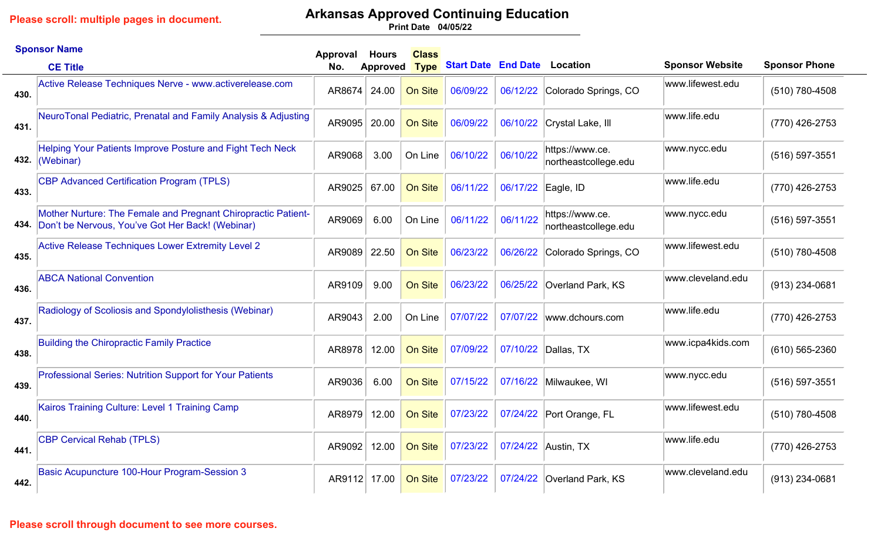# **Arkansas Approved Continuing Education**

**04/05/22 Print Date**

|      | <b>Sponsor Name</b>                                                                                                    | Approval | <b>Hours</b>    | <b>Class</b>   |                                     |                    |                                         |                        |                      |
|------|------------------------------------------------------------------------------------------------------------------------|----------|-----------------|----------------|-------------------------------------|--------------------|-----------------------------------------|------------------------|----------------------|
|      | <b>CE Title</b>                                                                                                        | No.      | <b>Approved</b> | <b>Type</b>    | <b>Start Date End Date Location</b> |                    |                                         | <b>Sponsor Website</b> | <b>Sponsor Phone</b> |
| 430. | Active Release Techniques Nerve - www.activerelease.com                                                                | AR8674   | 24.00           | <b>On Site</b> | 06/09/22                            |                    | 06/12/22 Colorado Springs, CO           | www.lifewest.edu       | (510) 780-4508       |
| 431. | NeuroTonal Pediatric, Prenatal and Family Analysis & Adjusting                                                         | AR9095   | 20.00           | On Site        | 06/09/22                            |                    | 06/10/22 Crystal Lake, III              | www.life.edu           | (770) 426-2753       |
| 432. | <b>Helping Your Patients Improve Posture and Fight Tech Neck</b><br>(Webinar)                                          | AR9068   | 3.00            | On Line        | 06/10/22                            | 06/10/22           | https://www.ce.<br>northeastcollege.edu | www.nycc.edu           | $(516) 597 - 3551$   |
| 433. | <b>CBP Advanced Certification Program (TPLS)</b>                                                                       | AR9025   | 67.00           | On Site        | 06/11/22                            | 06/17/22 Eagle, ID |                                         | www.life.edu           | (770) 426-2753       |
|      | Mother Nurture: The Female and Pregnant Chiropractic Patient-<br>434. Don't be Nervous, You've Got Her Back! (Webinar) | AR9069   | 6.00            | On Line        | 06/11/22                            | 06/11/22           | https://www.ce.<br>northeastcollege.edu | www.nycc.edu           | $(516) 597 - 3551$   |
| 435. | <b>Active Release Techniques Lower Extremity Level 2</b>                                                               | AR9089   | 22.50           | On Site        | 06/23/22                            | 06/26/22           | Colorado Springs, CO                    | www.lifewest.edu       | (510) 780-4508       |
| 436. | <b>ABCA National Convention</b>                                                                                        | AR9109   | 9.00            | On Site        | 06/23/22                            | 06/25/22           | Overland Park, KS                       | www.cleveland.edu      | (913) 234-0681       |
| 437. | Radiology of Scoliosis and Spondylolisthesis (Webinar)                                                                 | AR9043   | 2.00            | On Line        | 07/07/22                            | 07/07/22           | www.dchours.com                         | www.life.edu           | (770) 426-2753       |
| 438. | <b>Building the Chiropractic Family Practice</b>                                                                       | AR8978   | 12.00           | On Site        | 07/09/22                            |                    | 07/10/22 Dallas, TX                     | www.icpa4kids.com      | $(610)$ 565-2360     |
| 439. | Professional Series: Nutrition Support for Your Patients                                                               | AR9036   | 6.00            | <b>On Site</b> | 07/15/22                            | 07/16/22           | Milwaukee, WI                           | www.nycc.edu           | (516) 597-3551       |
| 440. | Kairos Training Culture: Level 1 Training Camp                                                                         | AR8979   | 12.00           | On Site        | 07/23/22                            |                    | 07/24/22 Port Orange, FL                | www.lifewest.edu       | (510) 780-4508       |
| 441. | <b>CBP Cervical Rehab (TPLS)</b>                                                                                       | AR9092   | 12.00           | <b>On Site</b> | 07/23/22                            | 07/24/22           | Austin, TX                              | www.life.edu           | (770) 426-2753       |
| 442. | Basic Acupuncture 100-Hour Program-Session 3                                                                           | AR9112   | 17.00           | On Site        | 07/23/22                            |                    | 07/24/22 Overland Park, KS              | www.cleveland.edu      | (913) 234-0681       |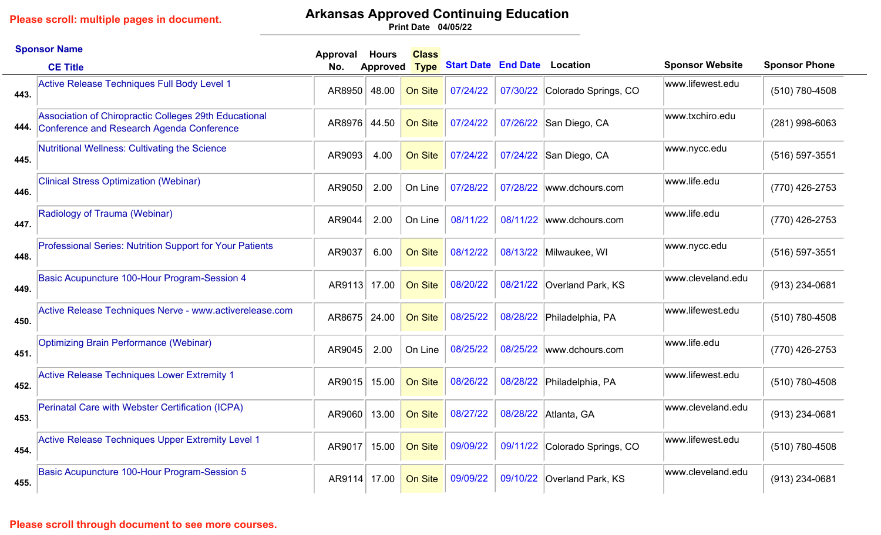## **Arkansas Approved Continuing Education**

**04/05/22 Print Date**

|      | <b>Sponsor Name</b>                                                                                | Approval     | Hours         | <b>Class</b> |                                     |          |                               |                        |                      |
|------|----------------------------------------------------------------------------------------------------|--------------|---------------|--------------|-------------------------------------|----------|-------------------------------|------------------------|----------------------|
|      | <b>CE Title</b>                                                                                    | No.          | Approved Type |              | <b>Start Date End Date Location</b> |          |                               | <b>Sponsor Website</b> | <b>Sponsor Phone</b> |
| 443. | <b>Active Release Techniques Full Body Level 1</b>                                                 | AR8950       | 48.00         | On Site      | 07/24/22                            | 07/30/22 | Colorado Springs, CO          | www.lifewest.edu       | (510) 780-4508       |
| 444. | Association of Chiropractic Colleges 29th Educational<br>Conference and Research Agenda Conference | AR8976       | 44.50         | On Site      | 07/24/22                            | 07/26/22 | San Diego, CA                 | www.txchiro.edu        | $(281)$ 998-6063     |
| 445. | <b>Nutritional Wellness: Cultivating the Science</b>                                               | AR9093       | 4.00          | On Site      | 07/24/22                            | 07/24/22 | San Diego, CA                 | www.nycc.edu           | (516) 597-3551       |
| 446. | <b>Clinical Stress Optimization (Webinar)</b>                                                      | AR9050       | 2.00          | On Line      | 07/28/22                            | 07/28/22 | www.dchours.com               | www.life.edu           | $(770)$ 426-2753     |
| 447. | Radiology of Trauma (Webinar)                                                                      | AR9044       | 2.00          | On Line      | 08/11/22                            | 08/11/22 | www.dchours.com               | www.life.edu           | (770) 426-2753       |
| 448. | Professional Series: Nutrition Support for Your Patients                                           | AR9037       | 6.00          | On Site      | 08/12/22                            | 08/13/22 | Milwaukee, WI                 | www.nycc.edu           | (516) 597-3551       |
| 449. | Basic Acupuncture 100-Hour Program-Session 4                                                       | AR9113 17.00 |               | On Site      | 08/20/22                            | 08/21/22 | Overland Park, KS             | www.cleveland.edu      | (913) 234-0681       |
| 450. | Active Release Techniques Nerve - www.activerelease.com                                            | AR8675       | 24.00         | On Site      | 08/25/22                            | 08/28/22 | Philadelphia, PA              | www.lifewest.edu       | (510) 780-4508       |
| 451. | <b>Optimizing Brain Performance (Webinar)</b>                                                      | AR9045       | 2.00          | On Line      | 08/25/22                            | 08/25/22 | www.dchours.com               | www.life.edu           | (770) 426-2753       |
| 452. | <b>Active Release Techniques Lower Extremity 1</b>                                                 | AR9015       | 15.00         | On Site      | 08/26/22                            | 08/28/22 | Philadelphia, PA              | www.lifewest.edu       | (510) 780-4508       |
| 453. | Perinatal Care with Webster Certification (ICPA)                                                   | AR9060       | 13.00         | On Site      | 08/27/22                            | 08/28/22 | Atlanta, GA                   | www.cleveland.edu      | (913) 234-0681       |
| 454. | <b>Active Release Techniques Upper Extremity Level 1</b>                                           | AR9017       | 15.00         | On Site      | 09/09/22                            |          | 09/11/22 Colorado Springs, CO | www.lifewest.edu       | (510) 780-4508       |
| 455. | Basic Acupuncture 100-Hour Program-Session 5                                                       | AR9114       | 17.00         | On Site      | 09/09/22                            | 09/10/22 | Overland Park, KS             | www.cleveland.edu      | $(913)$ 234-0681     |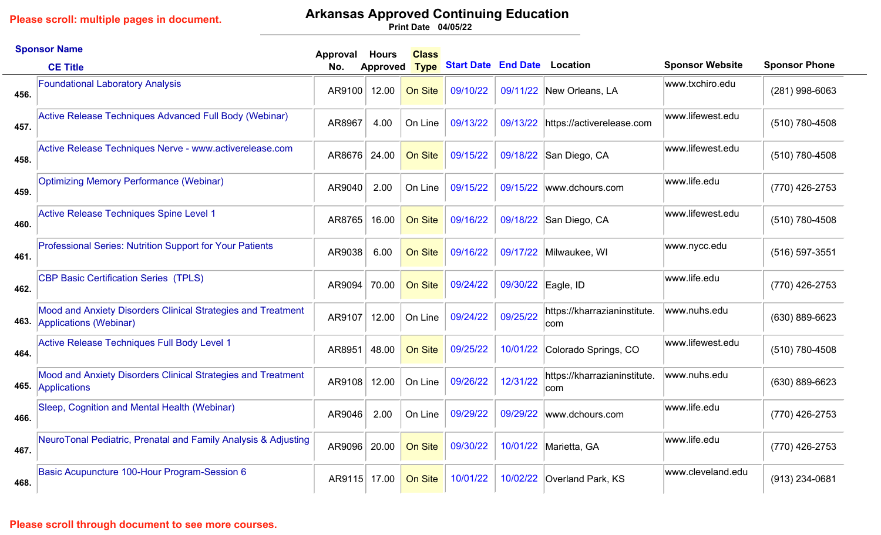## **Arkansas Approved Continuing Education**

**04/05/22 Print Date**

|      | <b>Sponsor Name</b>                                                                         | Approval | <b>Hours</b>    | <b>Class</b>   |                                     |          |                                      |                        |                      |
|------|---------------------------------------------------------------------------------------------|----------|-----------------|----------------|-------------------------------------|----------|--------------------------------------|------------------------|----------------------|
|      | <b>CE Title</b>                                                                             | No.      | <b>Approved</b> | <b>Type</b>    | <b>Start Date End Date Location</b> |          |                                      | <b>Sponsor Website</b> | <b>Sponsor Phone</b> |
| 456. | <b>Foundational Laboratory Analysis</b>                                                     | AR9100   | 12.00           | On Site        | 09/10/22                            |          | 09/11/22 New Orleans, LA             | www.txchiro.edu        | $(281)$ 998-6063     |
| 457. | Active Release Techniques Advanced Full Body (Webinar)                                      | AR8967   | 4.00            | On Line        | 09/13/22                            | 09/13/22 | https://activerelease.com            | www.lifewest.edu       | (510) 780-4508       |
| 458. | Active Release Techniques Nerve - www.activerelease.com                                     | AR8676   | 24.00           | <b>On Site</b> | 09/15/22                            | 09/18/22 | San Diego, CA                        | www.lifewest.edu       | (510) 780-4508       |
| 459. | <b>Optimizing Memory Performance (Webinar)</b>                                              | AR9040   | 2.00            | On Line        | 09/15/22                            | 09/15/22 | www.dchours.com                      | www.life.edu           | (770) 426-2753       |
| 460. | Active Release Techniques Spine Level 1                                                     | AR8765   | 16.00           | <b>On Site</b> | 09/16/22                            | 09/18/22 | San Diego, CA                        | www.lifewest.edu       | (510) 780-4508       |
| 461. | Professional Series: Nutrition Support for Your Patients                                    | AR9038   | 6.00            | On Site        | 09/16/22                            | 09/17/22 | Milwaukee, WI                        | www.nycc.edu           | (516) 597-3551       |
| 462. | <b>CBP Basic Certification Series (TPLS)</b>                                                | AR9094   | 70.00           | On Site        | 09/24/22                            | 09/30/22 | Eagle, ID                            | www.life.edu           | (770) 426-2753       |
|      | Mood and Anxiety Disorders Clinical Strategies and Treatment<br>463. Applications (Webinar) | AR9107   | 12.00           | On Line        | 09/24/22                            | 09/25/22 | https://kharrazianinstitute.<br>∣com | www.nuhs.edu           | $(630) 889 - 6623$   |
| 464. | Active Release Techniques Full Body Level 1                                                 | AR8951   | 48.00           | On Site        | 09/25/22                            | 10/01/22 | Colorado Springs, CO                 | www.lifewest.edu       | (510) 780-4508       |
|      | Mood and Anxiety Disorders Clinical Strategies and Treatment<br>465. Applications           | AR9108   | 12.00           | On Line        | 09/26/22                            | 12/31/22 | https://kharrazianinstitute.<br>com  | www.nuhs.edu           | (630) 889-6623       |
| 466. | Sleep, Cognition and Mental Health (Webinar)                                                | AR9046   | 2.00            | On Line        | 09/29/22                            | 09/29/22 | www.dchours.com                      | www.life.edu           | (770) 426-2753       |
| 467. | NeuroTonal Pediatric, Prenatal and Family Analysis & Adjusting                              | AR9096   | 20.00           | On Site        | 09/30/22                            | 10/01/22 | Marietta, GA                         | www.life.edu           | (770) 426-2753       |
| 468. | Basic Acupuncture 100-Hour Program-Session 6                                                | AR9115   | 17.00           | On Site        | 10/01/22                            | 10/02/22 | Overland Park, KS                    | www.cleveland.edu      | (913) 234-0681       |